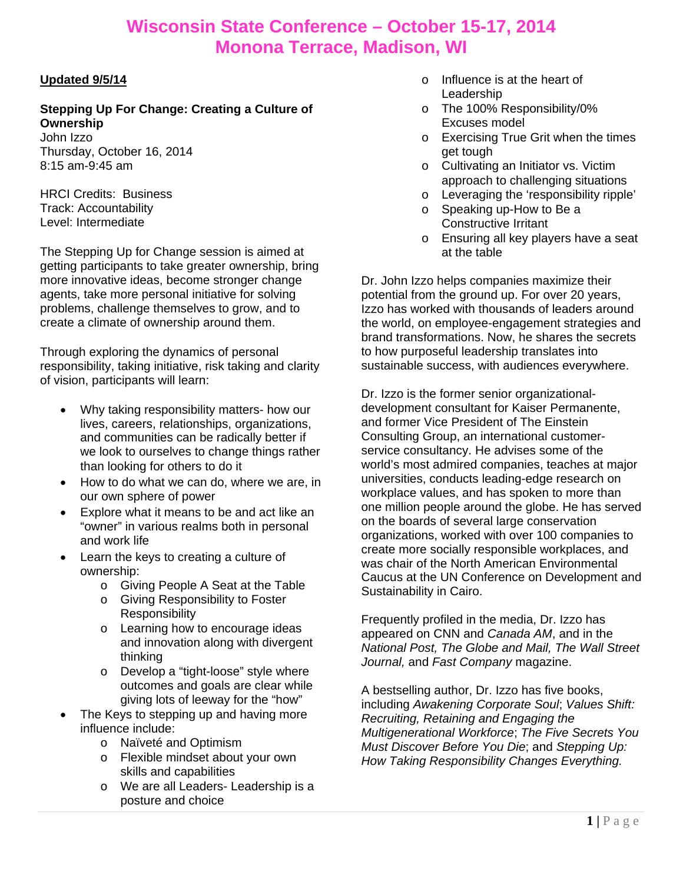### **Updated 9/5/14**

**Stepping Up For Change: Creating a Culture of Ownership** 

John Izzo Thursday, October 16, 2014 8:15 am-9:45 am

HRCI Credits: Business Track: Accountability Level: Intermediate

The Stepping Up for Change session is aimed at getting participants to take greater ownership, bring more innovative ideas, become stronger change agents, take more personal initiative for solving problems, challenge themselves to grow, and to create a climate of ownership around them.

Through exploring the dynamics of personal responsibility, taking initiative, risk taking and clarity of vision, participants will learn:

- Why taking responsibility matters- how our lives, careers, relationships, organizations, and communities can be radically better if we look to ourselves to change things rather than looking for others to do it
- How to do what we can do, where we are, in our own sphere of power
- Explore what it means to be and act like an "owner" in various realms both in personal and work life
- Learn the keys to creating a culture of ownership:
	- o Giving People A Seat at the Table
	- o Giving Responsibility to Foster **Responsibility**
	- o Learning how to encourage ideas and innovation along with divergent thinking
	- o Develop a "tight-loose" style where outcomes and goals are clear while giving lots of leeway for the "how"
- The Keys to stepping up and having more influence include:
	- o Naïveté and Optimism
	- o Flexible mindset about your own skills and capabilities
	- o We are all Leaders- Leadership is a posture and choice
- o Influence is at the heart of **Leadership**
- o The 100% Responsibility/0% Excuses model
- o Exercising True Grit when the times get tough
- o Cultivating an Initiator vs. Victim approach to challenging situations
- o Leveraging the 'responsibility ripple'
- o Speaking up-How to Be a Constructive Irritant
- o Ensuring all key players have a seat at the table

Dr. John Izzo helps companies maximize their potential from the ground up. For over 20 years, Izzo has worked with thousands of leaders around the world, on employee-engagement strategies and brand transformations. Now, he shares the secrets to how purposeful leadership translates into sustainable success, with audiences everywhere.

Dr. Izzo is the former senior organizationaldevelopment consultant for Kaiser Permanente, and former Vice President of The Einstein Consulting Group, an international customerservice consultancy. He advises some of the world's most admired companies, teaches at major universities, conducts leading-edge research on workplace values, and has spoken to more than one million people around the globe. He has served on the boards of several large conservation organizations, worked with over 100 companies to create more socially responsible workplaces, and was chair of the North American Environmental Caucus at the UN Conference on Development and Sustainability in Cairo.

Frequently profiled in the media, Dr. Izzo has appeared on CNN and *Canada AM*, and in the *National Post, The Globe and Mail, The Wall Street Journal,* and *Fast Company* magazine.

A bestselling author, Dr. Izzo has five books, including *Awakening Corporate Soul*; *Values Shift: Recruiting, Retaining and Engaging the Multigenerational Workforce*; *The Five Secrets You Must Discover Before You Die*; and *Stepping Up: How Taking Responsibility Changes Everything.*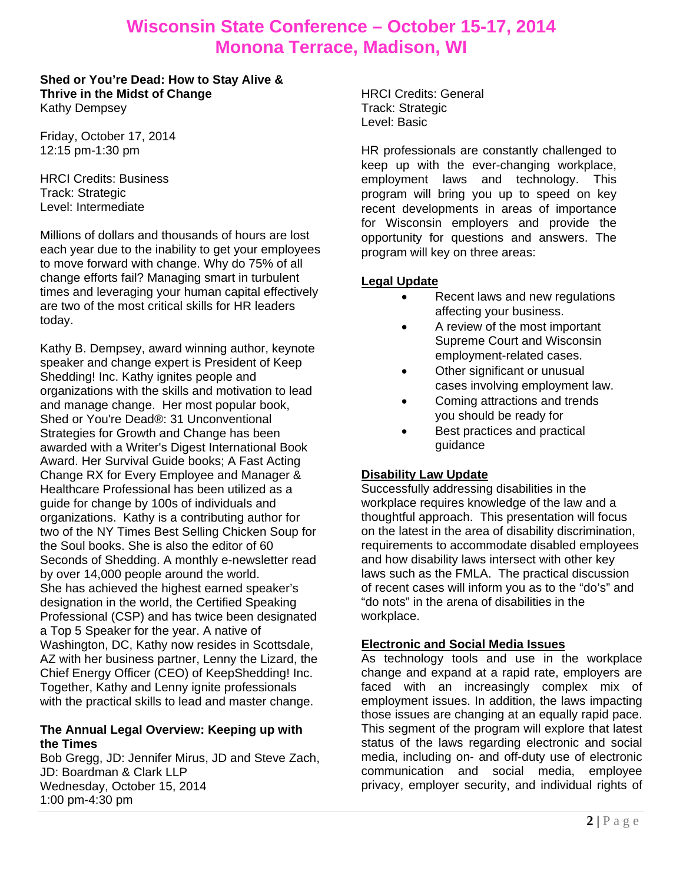**Shed or You're Dead: How to Stay Alive & Thrive in the Midst of Change**  Kathy Dempsey

Friday, October 17, 2014 12:15 pm-1:30 pm

HRCI Credits: Business Track: Strategic Level: Intermediate

Millions of dollars and thousands of hours are lost each year due to the inability to get your employees to move forward with change. Why do 75% of all change efforts fail? Managing smart in turbulent times and leveraging your human capital effectively are two of the most critical skills for HR leaders today.

Kathy B. Dempsey, award winning author, keynote speaker and change expert is President of Keep Shedding! Inc. Kathy ignites people and organizations with the skills and motivation to lead and manage change. Her most popular book, Shed or You're Dead®: 31 Unconventional Strategies for Growth and Change has been awarded with a Writer's Digest International Book Award. Her Survival Guide books; A Fast Acting Change RX for Every Employee and Manager & Healthcare Professional has been utilized as a guide for change by 100s of individuals and organizations. Kathy is a contributing author for two of the NY Times Best Selling Chicken Soup for the Soul books. She is also the editor of 60 Seconds of Shedding. A monthly e-newsletter read by over 14,000 people around the world. She has achieved the highest earned speaker's designation in the world, the Certified Speaking Professional (CSP) and has twice been designated a Top 5 Speaker for the year. A native of Washington, DC, Kathy now resides in Scottsdale, AZ with her business partner, Lenny the Lizard, the Chief Energy Officer (CEO) of KeepShedding! Inc. Together, Kathy and Lenny ignite professionals with the practical skills to lead and master change.

### **The Annual Legal Overview: Keeping up with the Times**

Bob Gregg, JD: Jennifer Mirus, JD and Steve Zach, JD: Boardman & Clark LLP Wednesday, October 15, 2014 1:00 pm-4:30 pm

HRCI Credits: General Track: Strategic Level: Basic

HR professionals are constantly challenged to keep up with the ever-changing workplace, employment laws and technology. This program will bring you up to speed on key recent developments in areas of importance for Wisconsin employers and provide the opportunity for questions and answers. The program will key on three areas:

### **Legal Update**

- Recent laws and new regulations affecting your business.
- A review of the most important Supreme Court and Wisconsin employment-related cases.
- Other significant or unusual cases involving employment law.
- Coming attractions and trends you should be ready for
- Best practices and practical guidance

### **Disability Law Update**

Successfully addressing disabilities in the workplace requires knowledge of the law and a thoughtful approach. This presentation will focus on the latest in the area of disability discrimination, requirements to accommodate disabled employees and how disability laws intersect with other key laws such as the FMLA. The practical discussion of recent cases will inform you as to the "do's" and "do nots" in the arena of disabilities in the workplace.

### **Electronic and Social Media Issues**

As technology tools and use in the workplace change and expand at a rapid rate, employers are faced with an increasingly complex mix of employment issues. In addition, the laws impacting those issues are changing at an equally rapid pace. This segment of the program will explore that latest status of the laws regarding electronic and social media, including on- and off-duty use of electronic communication and social media, employee privacy, employer security, and individual rights of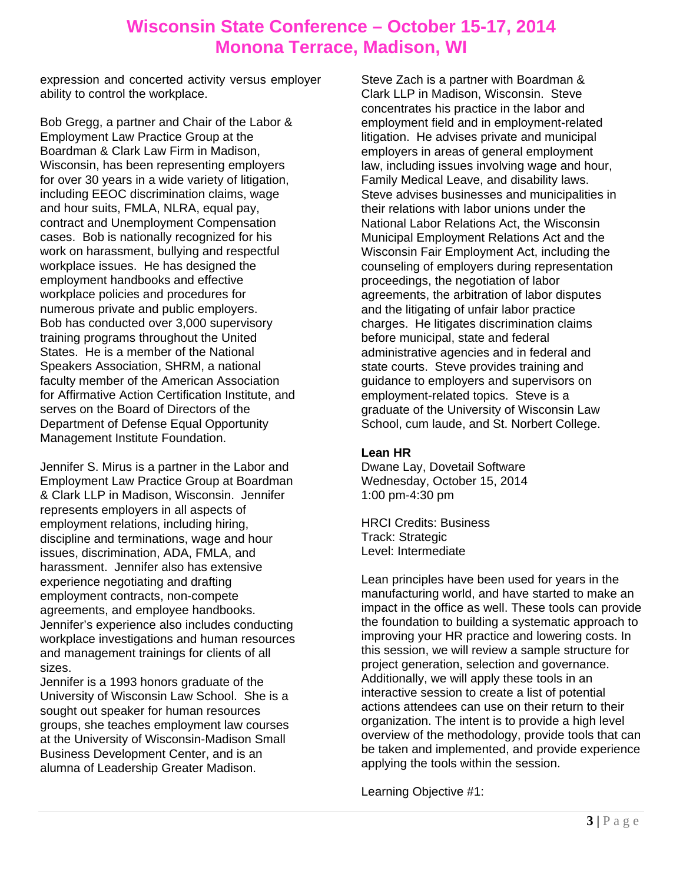expression and concerted activity versus employer ability to control the workplace.

Bob Gregg, a partner and Chair of the Labor & Employment Law Practice Group at the Boardman & Clark Law Firm in Madison, Wisconsin, has been representing employers for over 30 years in a wide variety of litigation, including EEOC discrimination claims, wage and hour suits, FMLA, NLRA, equal pay, contract and Unemployment Compensation cases. Bob is nationally recognized for his work on harassment, bullying and respectful workplace issues. He has designed the employment handbooks and effective workplace policies and procedures for numerous private and public employers. Bob has conducted over 3,000 supervisory training programs throughout the United States. He is a member of the National Speakers Association, SHRM, a national faculty member of the American Association for Affirmative Action Certification Institute, and serves on the Board of Directors of the Department of Defense Equal Opportunity Management Institute Foundation.

Jennifer S. Mirus is a partner in the Labor and Employment Law Practice Group at Boardman & Clark LLP in Madison, Wisconsin. Jennifer represents employers in all aspects of employment relations, including hiring, discipline and terminations, wage and hour issues, discrimination, ADA, FMLA, and harassment. Jennifer also has extensive experience negotiating and drafting employment contracts, non-compete agreements, and employee handbooks. Jennifer's experience also includes conducting workplace investigations and human resources and management trainings for clients of all sizes.

Jennifer is a 1993 honors graduate of the University of Wisconsin Law School. She is a sought out speaker for human resources groups, she teaches employment law courses at the University of Wisconsin-Madison Small Business Development Center, and is an alumna of Leadership Greater Madison.

Steve Zach is a partner with Boardman & Clark LLP in Madison, Wisconsin. Steve concentrates his practice in the labor and employment field and in employment-related litigation. He advises private and municipal employers in areas of general employment law, including issues involving wage and hour, Family Medical Leave, and disability laws. Steve advises businesses and municipalities in their relations with labor unions under the National Labor Relations Act, the Wisconsin Municipal Employment Relations Act and the Wisconsin Fair Employment Act, including the counseling of employers during representation proceedings, the negotiation of labor agreements, the arbitration of labor disputes and the litigating of unfair labor practice charges. He litigates discrimination claims before municipal, state and federal administrative agencies and in federal and state courts. Steve provides training and guidance to employers and supervisors on employment-related topics. Steve is a graduate of the University of Wisconsin Law School, cum laude, and St. Norbert College.

### **Lean HR**

Dwane Lay, Dovetail Software Wednesday, October 15, 2014 1:00 pm-4:30 pm

HRCI Credits: Business Track: Strategic Level: Intermediate

Lean principles have been used for years in the manufacturing world, and have started to make an impact in the office as well. These tools can provide the foundation to building a systematic approach to improving your HR practice and lowering costs. In this session, we will review a sample structure for project generation, selection and governance. Additionally, we will apply these tools in an interactive session to create a list of potential actions attendees can use on their return to their organization. The intent is to provide a high level overview of the methodology, provide tools that can be taken and implemented, and provide experience applying the tools within the session.

Learning Objective #1: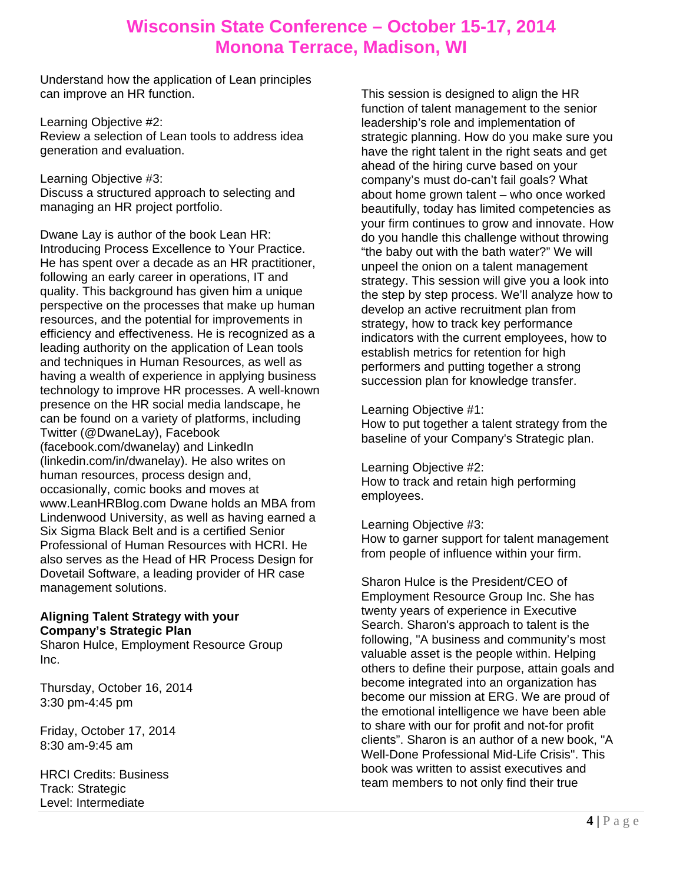Understand how the application of Lean principles can improve an HR function.

Learning Objective #2: Review a selection of Lean tools to address idea generation and evaluation.

Learning Objective #3: Discuss a structured approach to selecting and managing an HR project portfolio.

Dwane Lay is author of the book Lean HR: Introducing Process Excellence to Your Practice. He has spent over a decade as an HR practitioner, following an early career in operations, IT and quality. This background has given him a unique perspective on the processes that make up human resources, and the potential for improvements in efficiency and effectiveness. He is recognized as a leading authority on the application of Lean tools and techniques in Human Resources, as well as having a wealth of experience in applying business technology to improve HR processes. A well-known presence on the HR social media landscape, he can be found on a variety of platforms, including Twitter (@DwaneLay), Facebook (facebook.com/dwanelay) and LinkedIn (linkedin.com/in/dwanelay). He also writes on human resources, process design and, occasionally, comic books and moves at www.LeanHRBlog.com Dwane holds an MBA from Lindenwood University, as well as having earned a Six Sigma Black Belt and is a certified Senior Professional of Human Resources with HCRI. He also serves as the Head of HR Process Design for Dovetail Software, a leading provider of HR case management solutions.

### **Aligning Talent Strategy with your Company's Strategic Plan**

Sharon Hulce, Employment Resource Group Inc.

Thursday, October 16, 2014 3:30 pm-4:45 pm

Friday, October 17, 2014 8:30 am-9:45 am

HRCI Credits: Business Track: Strategic Level: Intermediate

This session is designed to align the HR function of talent management to the senior leadership's role and implementation of strategic planning. How do you make sure you have the right talent in the right seats and get ahead of the hiring curve based on your company's must do-can't fail goals? What about home grown talent – who once worked beautifully, today has limited competencies as your firm continues to grow and innovate. How do you handle this challenge without throwing "the baby out with the bath water?" We will unpeel the onion on a talent management strategy. This session will give you a look into the step by step process. We'll analyze how to develop an active recruitment plan from strategy, how to track key performance indicators with the current employees, how to establish metrics for retention for high performers and putting together a strong succession plan for knowledge transfer.

### Learning Objective #1:

How to put together a talent strategy from the baseline of your Company's Strategic plan.

Learning Objective #2: How to track and retain high performing

employees.

Learning Objective #3:

How to garner support for talent management from people of influence within your firm.

Sharon Hulce is the President/CEO of Employment Resource Group Inc. She has twenty years of experience in Executive Search. Sharon's approach to talent is the following, "A business and community's most valuable asset is the people within. Helping others to define their purpose, attain goals and become integrated into an organization has become our mission at ERG. We are proud of the emotional intelligence we have been able to share with our for profit and not-for profit clients". Sharon is an author of a new book, "A Well-Done Professional Mid-Life Crisis". This book was written to assist executives and team members to not only find their true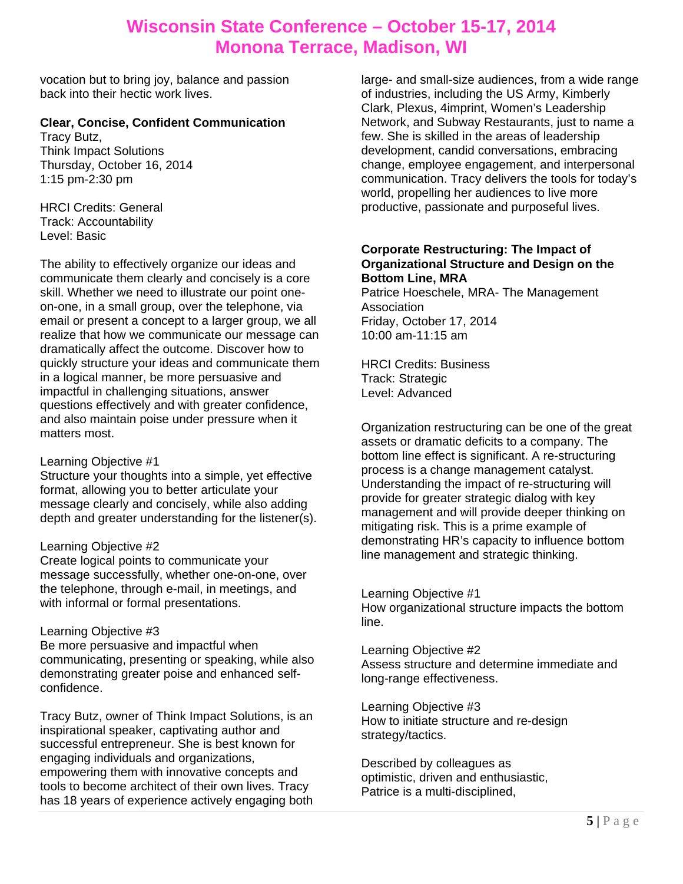vocation but to bring joy, balance and passion back into their hectic work lives.

### **Clear, Concise, Confident Communication**

Tracy Butz, Think Impact Solutions Thursday, October 16, 2014 1:15 pm-2:30 pm

HRCI Credits: General Track: Accountability Level: Basic

The ability to effectively organize our ideas and communicate them clearly and concisely is a core skill. Whether we need to illustrate our point oneon-one, in a small group, over the telephone, via email or present a concept to a larger group, we all realize that how we communicate our message can dramatically affect the outcome. Discover how to quickly structure your ideas and communicate them in a logical manner, be more persuasive and impactful in challenging situations, answer questions effectively and with greater confidence, and also maintain poise under pressure when it matters most.

### Learning Objective #1

Structure your thoughts into a simple, yet effective format, allowing you to better articulate your message clearly and concisely, while also adding depth and greater understanding for the listener(s).

### Learning Objective #2

Create logical points to communicate your message successfully, whether one-on-one, over the telephone, through e-mail, in meetings, and with informal or formal presentations.

### Learning Objective #3

Be more persuasive and impactful when communicating, presenting or speaking, while also demonstrating greater poise and enhanced selfconfidence.

Tracy Butz, owner of Think Impact Solutions, is an inspirational speaker, captivating author and successful entrepreneur. She is best known for engaging individuals and organizations, empowering them with innovative concepts and tools to become architect of their own lives. Tracy has 18 years of experience actively engaging both

large- and small-size audiences, from a wide range of industries, including the US Army, Kimberly Clark, Plexus, 4imprint, Women's Leadership Network, and Subway Restaurants, just to name a few. She is skilled in the areas of leadership development, candid conversations, embracing change, employee engagement, and interpersonal communication. Tracy delivers the tools for today's world, propelling her audiences to live more productive, passionate and purposeful lives.

### **Corporate Restructuring: The Impact of Organizational Structure and Design on the Bottom Line, MRA**

Patrice Hoeschele, MRA- The Management Association Friday, October 17, 2014 10:00 am-11:15 am

HRCI Credits: Business Track: Strategic Level: Advanced

Organization restructuring can be one of the great assets or dramatic deficits to a company. The bottom line effect is significant. A re-structuring process is a change management catalyst. Understanding the impact of re-structuring will provide for greater strategic dialog with key management and will provide deeper thinking on mitigating risk. This is a prime example of demonstrating HR's capacity to influence bottom line management and strategic thinking.

Learning Objective #1 How organizational structure impacts the bottom line.

Learning Objective #2 Assess structure and determine immediate and long-range effectiveness.

Learning Objective #3 How to initiate structure and re-design strategy/tactics.

Described by colleagues as optimistic, driven and enthusiastic, Patrice is a multi-disciplined,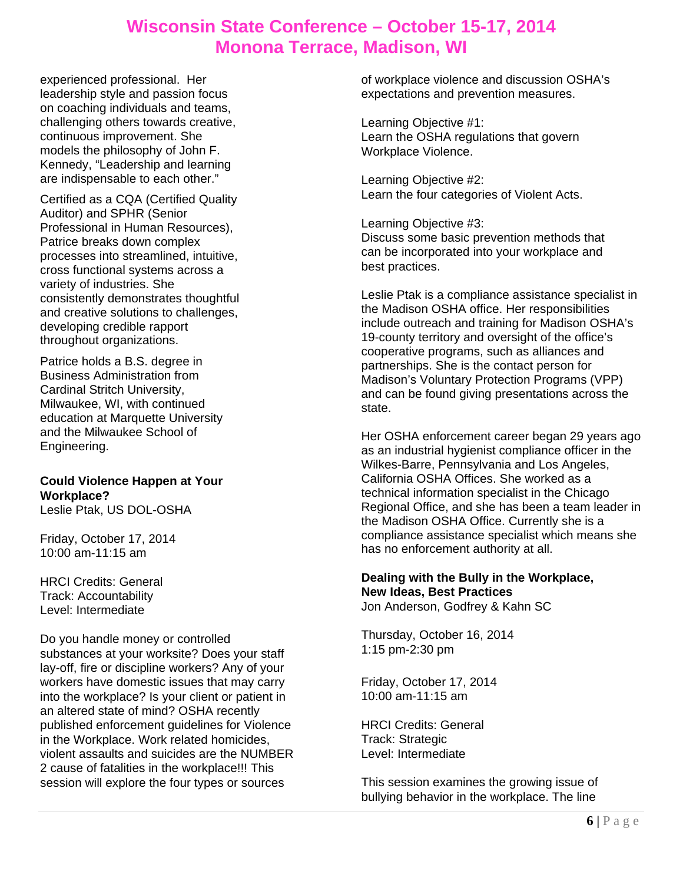experienced professional. Her leadership style and passion focus on coaching individuals and teams, challenging others towards creative, continuous improvement. She models the philosophy of John F. Kennedy, "Leadership and learning are indispensable to each other."

Certified as a CQA (Certified Quality Auditor) and SPHR (Senior Professional in Human Resources), Patrice breaks down complex processes into streamlined, intuitive, cross functional systems across a variety of industries. She consistently demonstrates thoughtful and creative solutions to challenges, developing credible rapport throughout organizations.

Patrice holds a B.S. degree in Business Administration from Cardinal Stritch University, Milwaukee, WI, with continued education at Marquette University and the Milwaukee School of Engineering.

#### **Could Violence Happen at Your Workplace?**  Leslie Ptak, US DOL-OSHA

Friday, October 17, 2014 10:00 am-11:15 am

HRCI Credits: General Track: Accountability Level: Intermediate

Do you handle money or controlled substances at your worksite? Does your staff lay-off, fire or discipline workers? Any of your workers have domestic issues that may carry into the workplace? Is your client or patient in an altered state of mind? OSHA recently published enforcement guidelines for Violence in the Workplace. Work related homicides, violent assaults and suicides are the NUMBER 2 cause of fatalities in the workplace!!! This session will explore the four types or sources

of workplace violence and discussion OSHA's expectations and prevention measures.

Learning Objective #1: Learn the OSHA regulations that govern Workplace Violence.

Learning Objective #2: Learn the four categories of Violent Acts.

Learning Objective #3: Discuss some basic prevention methods that can be incorporated into your workplace and best practices.

Leslie Ptak is a compliance assistance specialist in the Madison OSHA office. Her responsibilities include outreach and training for Madison OSHA's 19-county territory and oversight of the office's cooperative programs, such as alliances and partnerships. She is the contact person for Madison's Voluntary Protection Programs (VPP) and can be found giving presentations across the state.

Her OSHA enforcement career began 29 years ago as an industrial hygienist compliance officer in the Wilkes-Barre, Pennsylvania and Los Angeles, California OSHA Offices. She worked as a technical information specialist in the Chicago Regional Office, and she has been a team leader in the Madison OSHA Office. Currently she is a compliance assistance specialist which means she has no enforcement authority at all.

## **Dealing with the Bully in the Workplace, New Ideas, Best Practices**

Jon Anderson, Godfrey & Kahn SC

Thursday, October 16, 2014 1:15 pm-2:30 pm

Friday, October 17, 2014 10:00 am-11:15 am

HRCI Credits: General Track: Strategic Level: Intermediate

This session examines the growing issue of bullying behavior in the workplace. The line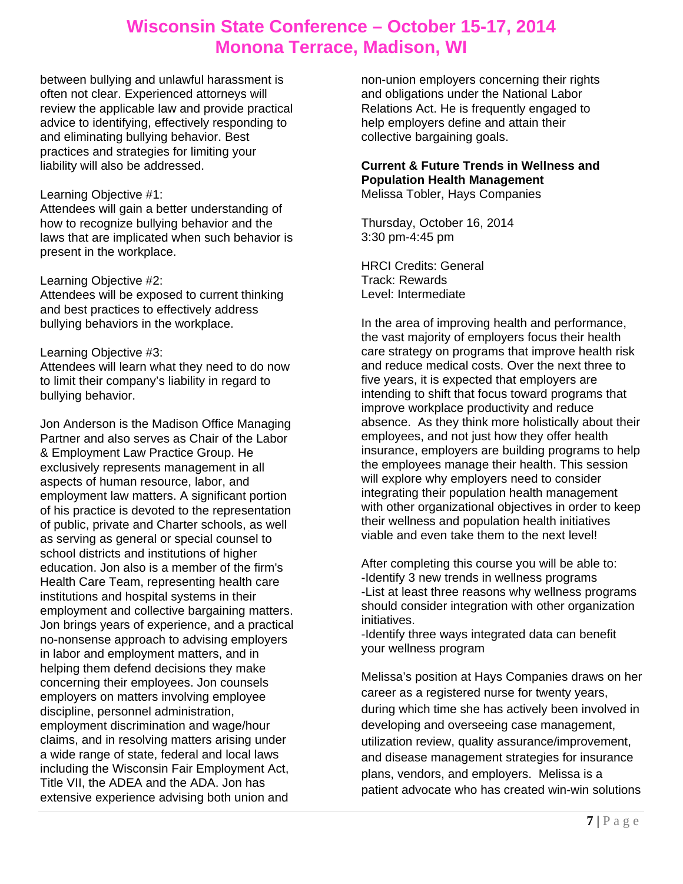between bullying and unlawful harassment is often not clear. Experienced attorneys will review the applicable law and provide practical advice to identifying, effectively responding to and eliminating bullying behavior. Best practices and strategies for limiting your liability will also be addressed.

### Learning Objective #1:

Attendees will gain a better understanding of how to recognize bullying behavior and the laws that are implicated when such behavior is present in the workplace.

#### Learning Objective #2:

Attendees will be exposed to current thinking and best practices to effectively address bullying behaviors in the workplace.

### Learning Objective #3:

Attendees will learn what they need to do now to limit their company's liability in regard to bullying behavior.

Jon Anderson is the Madison Office Managing Partner and also serves as Chair of the Labor & Employment Law Practice Group. He exclusively represents management in all aspects of human resource, labor, and employment law matters. A significant portion of his practice is devoted to the representation of public, private and Charter schools, as well as serving as general or special counsel to school districts and institutions of higher education. Jon also is a member of the firm's Health Care Team, representing health care institutions and hospital systems in their employment and collective bargaining matters. Jon brings years of experience, and a practical no-nonsense approach to advising employers in labor and employment matters, and in helping them defend decisions they make concerning their employees. Jon counsels employers on matters involving employee discipline, personnel administration, employment discrimination and wage/hour claims, and in resolving matters arising under a wide range of state, federal and local laws including the Wisconsin Fair Employment Act, Title VII, the ADEA and the ADA. Jon has extensive experience advising both union and

non-union employers concerning their rights and obligations under the National Labor Relations Act. He is frequently engaged to help employers define and attain their collective bargaining goals.

#### **Current & Future Trends in Wellness and Population Health Management**  Melissa Tobler, Hays Companies

Thursday, October 16, 2014 3:30 pm-4:45 pm

HRCI Credits: General Track: Rewards Level: Intermediate

In the area of improving health and performance, the vast majority of employers focus their health care strategy on programs that improve health risk and reduce medical costs. Over the next three to five years, it is expected that employers are intending to shift that focus toward programs that improve workplace productivity and reduce absence. As they think more holistically about their employees, and not just how they offer health insurance, employers are building programs to help the employees manage their health. This session will explore why employers need to consider integrating their population health management with other organizational objectives in order to keep their wellness and population health initiatives viable and even take them to the next level!

After completing this course you will be able to: -Identify 3 new trends in wellness programs -List at least three reasons why wellness programs should consider integration with other organization initiatives.

-Identify three ways integrated data can benefit your wellness program

Melissa's position at Hays Companies draws on her career as a registered nurse for twenty years, during which time she has actively been involved in developing and overseeing case management, utilization review, quality assurance/improvement, and disease management strategies for insurance plans, vendors, and employers. Melissa is a patient advocate who has created win-win solutions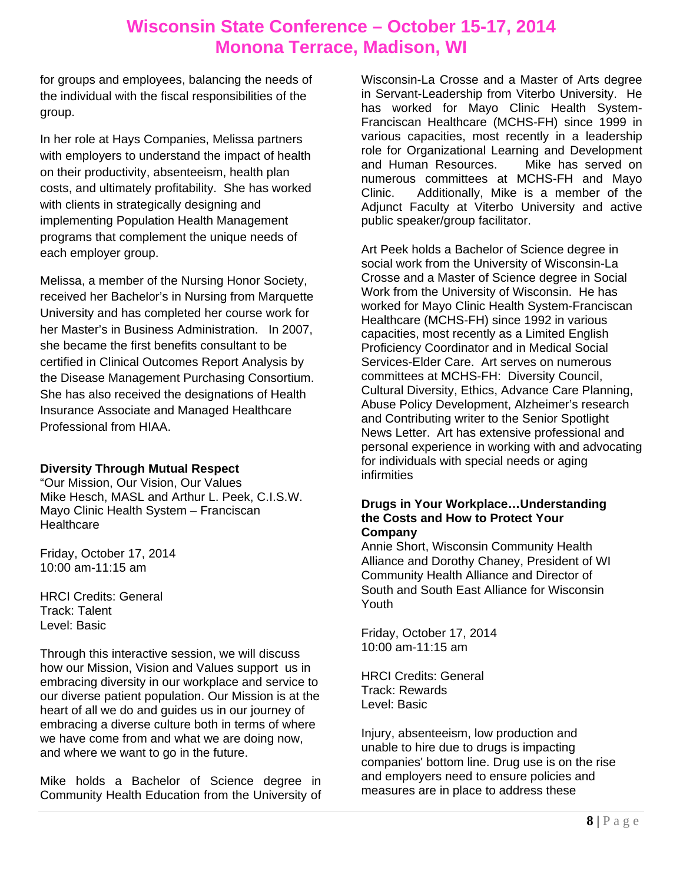for groups and employees, balancing the needs of the individual with the fiscal responsibilities of the group.

In her role at Hays Companies, Melissa partners with employers to understand the impact of health on their productivity, absenteeism, health plan costs, and ultimately profitability. She has worked with clients in strategically designing and implementing Population Health Management programs that complement the unique needs of each employer group.

Melissa, a member of the Nursing Honor Society, received her Bachelor's in Nursing from Marquette University and has completed her course work for her Master's in Business Administration. In 2007, she became the first benefits consultant to be certified in Clinical Outcomes Report Analysis by the Disease Management Purchasing Consortium. She has also received the designations of Health Insurance Associate and Managed Healthcare Professional from HIAA.

### **Diversity Through Mutual Respect**

"Our Mission, Our Vision, Our Values Mike Hesch, MASL and Arthur L. Peek, C.I.S.W. Mayo Clinic Health System – Franciscan **Healthcare** 

Friday, October 17, 2014 10:00 am-11:15 am

HRCI Credits: General Track: Talent Level: Basic

Through this interactive session, we will discuss how our Mission, Vision and Values support us in embracing diversity in our workplace and service to our diverse patient population. Our Mission is at the heart of all we do and guides us in our journey of embracing a diverse culture both in terms of where we have come from and what we are doing now, and where we want to go in the future.

Mike holds a Bachelor of Science degree in Community Health Education from the University of Wisconsin-La Crosse and a Master of Arts degree in Servant-Leadership from Viterbo University. He has worked for Mayo Clinic Health System-Franciscan Healthcare (MCHS-FH) since 1999 in various capacities, most recently in a leadership role for Organizational Learning and Development and Human Resources. Mike has served on numerous committees at MCHS-FH and Mayo Clinic. Additionally, Mike is a member of the Adjunct Faculty at Viterbo University and active public speaker/group facilitator.

Art Peek holds a Bachelor of Science degree in social work from the University of Wisconsin-La Crosse and a Master of Science degree in Social Work from the University of Wisconsin. He has worked for Mayo Clinic Health System-Franciscan Healthcare (MCHS-FH) since 1992 in various capacities, most recently as a Limited English Proficiency Coordinator and in Medical Social Services-Elder Care. Art serves on numerous committees at MCHS-FH: Diversity Council, Cultural Diversity, Ethics, Advance Care Planning, Abuse Policy Development, Alzheimer's research and Contributing writer to the Senior Spotlight News Letter. Art has extensive professional and personal experience in working with and advocating for individuals with special needs or aging infirmities

#### **Drugs in Your Workplace…Understanding the Costs and How to Protect Your Company**

Annie Short, Wisconsin Community Health Alliance and Dorothy Chaney, President of WI Community Health Alliance and Director of South and South East Alliance for Wisconsin Youth

Friday, October 17, 2014 10:00 am-11:15 am

HRCI Credits: General Track: Rewards Level: Basic

Injury, absenteeism, low production and unable to hire due to drugs is impacting companies' bottom line. Drug use is on the rise and employers need to ensure policies and measures are in place to address these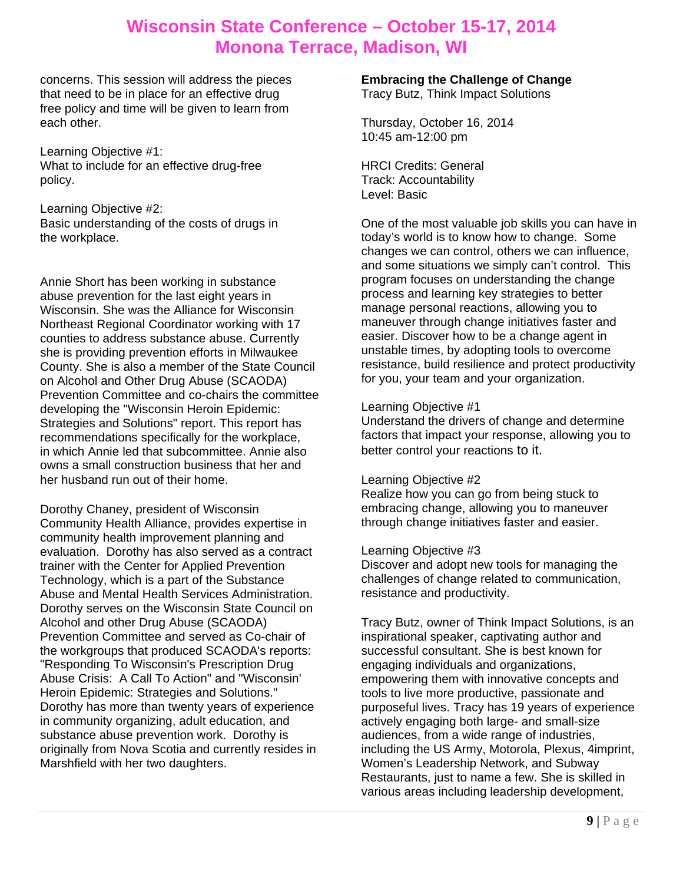concerns. This session will address the pieces that need to be in place for an effective drug free policy and time will be given to learn from each other.

Learning Objective #1: What to include for an effective drug-free policy.

Learning Objective #2: Basic understanding of the costs of drugs in the workplace.

Annie Short has been working in substance abuse prevention for the last eight years in Wisconsin. She was the Alliance for Wisconsin Northeast Regional Coordinator working with 17 counties to address substance abuse. Currently she is providing prevention efforts in Milwaukee County. She is also a member of the State Council on Alcohol and Other Drug Abuse (SCAODA) Prevention Committee and co-chairs the committee developing the "Wisconsin Heroin Epidemic: Strategies and Solutions" report. This report has recommendations specifically for the workplace, in which Annie led that subcommittee. Annie also owns a small construction business that her and her husband run out of their home.

Dorothy Chaney, president of Wisconsin Community Health Alliance, provides expertise in community health improvement planning and evaluation. Dorothy has also served as a contract trainer with the Center for Applied Prevention Technology, which is a part of the Substance Abuse and Mental Health Services Administration. Dorothy serves on the Wisconsin State Council on Alcohol and other Drug Abuse (SCAODA) Prevention Committee and served as Co-chair of the workgroups that produced SCAODA's reports: "Responding To Wisconsin's Prescription Drug Abuse Crisis: A Call To Action" and "Wisconsin' Heroin Epidemic: Strategies and Solutions." Dorothy has more than twenty years of experience in community organizing, adult education, and substance abuse prevention work. Dorothy is originally from Nova Scotia and currently resides in Marshfield with her two daughters.

**Embracing the Challenge of Change**  Tracy Butz, Think Impact Solutions

Thursday, October 16, 2014 10:45 am-12:00 pm

HRCI Credits: General Track: Accountability Level: Basic

One of the most valuable job skills you can have in today's world is to know how to change. Some changes we can control, others we can influence, and some situations we simply can't control. This program focuses on understanding the change process and learning key strategies to better manage personal reactions, allowing you to maneuver through change initiatives faster and easier. Discover how to be a change agent in unstable times, by adopting tools to overcome resistance, build resilience and protect productivity for you, your team and your organization.

#### Learning Objective #1

Understand the drivers of change and determine factors that impact your response, allowing you to better control your reactions to it.

### Learning Objective #2

Realize how you can go from being stuck to embracing change, allowing you to maneuver through change initiatives faster and easier.

#### Learning Objective #3

Discover and adopt new tools for managing the challenges of change related to communication, resistance and productivity.

Tracy Butz, owner of Think Impact Solutions, is an inspirational speaker, captivating author and successful consultant. She is best known for engaging individuals and organizations, empowering them with innovative concepts and tools to live more productive, passionate and purposeful lives. Tracy has 19 years of experience actively engaging both large- and small-size audiences, from a wide range of industries, including the US Army, Motorola, Plexus, 4imprint, Women's Leadership Network, and Subway Restaurants, just to name a few. She is skilled in various areas including leadership development,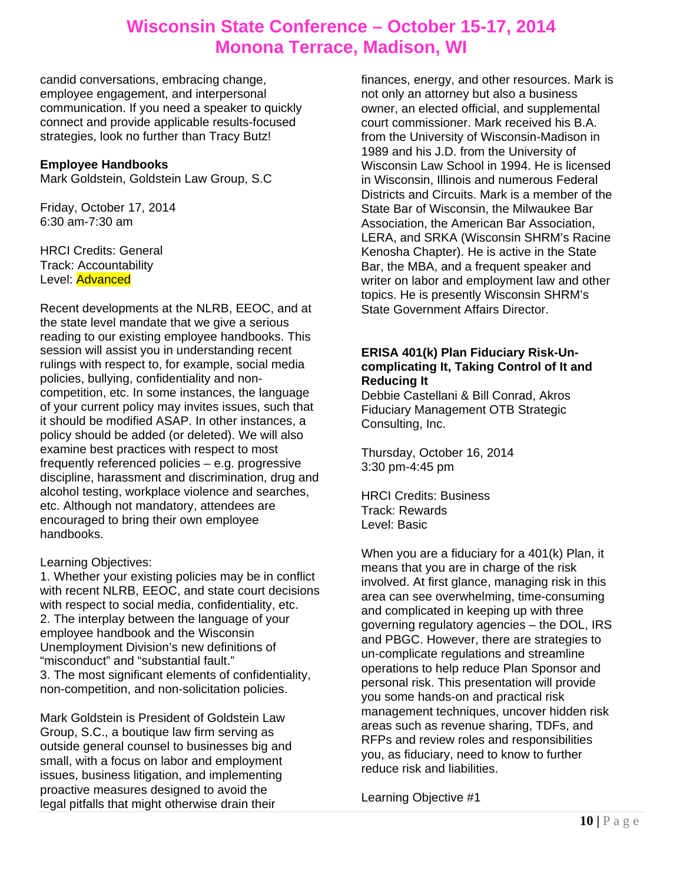candid conversations, embracing change, employee engagement, and interpersonal communication. If you need a speaker to quickly connect and provide applicable results-focused strategies, look no further than Tracy Butz!

### **Employee Handbooks**

Mark Goldstein, Goldstein Law Group, S.C

Friday, October 17, 2014 6:30 am-7:30 am

HRCI Credits: General Track: Accountability Level: Advanced

Recent developments at the NLRB, EEOC, and at the state level mandate that we give a serious reading to our existing employee handbooks. This session will assist you in understanding recent rulings with respect to, for example, social media policies, bullying, confidentiality and noncompetition, etc. In some instances, the language of your current policy may invites issues, such that it should be modified ASAP. In other instances, a policy should be added (or deleted). We will also examine best practices with respect to most frequently referenced policies – e.g. progressive discipline, harassment and discrimination, drug and alcohol testing, workplace violence and searches, etc. Although not mandatory, attendees are encouraged to bring their own employee handbooks.

Learning Objectives:

1. Whether your existing policies may be in conflict with recent NLRB, EEOC, and state court decisions with respect to social media, confidentiality, etc. 2. The interplay between the language of your employee handbook and the Wisconsin Unemployment Division's new definitions of "misconduct" and "substantial fault." 3. The most significant elements of confidentiality, non-competition, and non-solicitation policies.

Mark Goldstein is President of Goldstein Law Group, S.C., a boutique law firm serving as outside general counsel to businesses big and small, with a focus on labor and employment issues, business litigation, and implementing proactive measures designed to avoid the legal pitfalls that might otherwise drain their

finances, energy, and other resources. Mark is not only an attorney but also a business owner, an elected official, and supplemental court commissioner. Mark received his B.A. from the University of Wisconsin-Madison in 1989 and his J.D. from the University of Wisconsin Law School in 1994. He is licensed in Wisconsin, Illinois and numerous Federal Districts and Circuits. Mark is a member of the State Bar of Wisconsin, the Milwaukee Bar Association, the American Bar Association, LERA, and SRKA (Wisconsin SHRM's Racine Kenosha Chapter). He is active in the State Bar, the MBA, and a frequent speaker and writer on labor and employment law and other topics. He is presently Wisconsin SHRM's State Government Affairs Director.

### **ERISA 401(k) Plan Fiduciary Risk-Uncomplicating It, Taking Control of It and Reducing It**

Debbie Castellani & Bill Conrad, Akros Fiduciary Management OTB Strategic Consulting, Inc.

Thursday, October 16, 2014 3:30 pm-4:45 pm

HRCI Credits: Business Track: Rewards Level: Basic

When you are a fiduciary for a 401(k) Plan, it means that you are in charge of the risk involved. At first glance, managing risk in this area can see overwhelming, time-consuming and complicated in keeping up with three governing regulatory agencies – the DOL, IRS and PBGC. However, there are strategies to un-complicate regulations and streamline operations to help reduce Plan Sponsor and personal risk. This presentation will provide you some hands-on and practical risk management techniques, uncover hidden risk areas such as revenue sharing, TDFs, and RFPs and review roles and responsibilities you, as fiduciary, need to know to further reduce risk and liabilities.

Learning Objective #1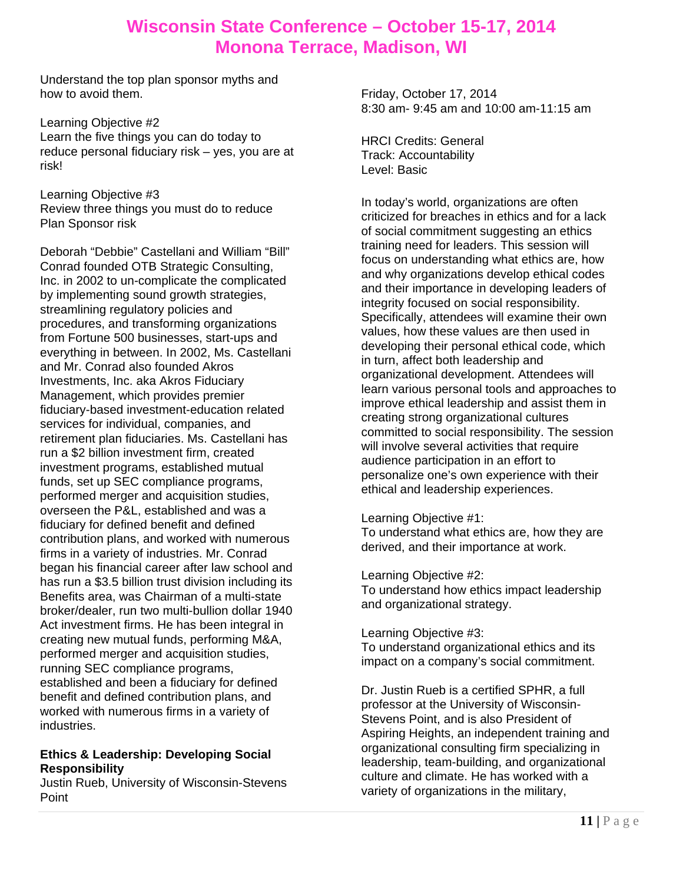Understand the top plan sponsor myths and how to avoid them.

Learning Objective #2 Learn the five things you can do today to reduce personal fiduciary risk – yes, you are at risk!

Learning Objective #3 Review three things you must do to reduce Plan Sponsor risk

Deborah "Debbie" Castellani and William "Bill" Conrad founded OTB Strategic Consulting, Inc. in 2002 to un-complicate the complicated by implementing sound growth strategies, streamlining regulatory policies and procedures, and transforming organizations from Fortune 500 businesses, start-ups and everything in between. In 2002, Ms. Castellani and Mr. Conrad also founded Akros Investments, Inc. aka Akros Fiduciary Management, which provides premier fiduciary-based investment-education related services for individual, companies, and retirement plan fiduciaries. Ms. Castellani has run a \$2 billion investment firm, created investment programs, established mutual funds, set up SEC compliance programs, performed merger and acquisition studies, overseen the P&L, established and was a fiduciary for defined benefit and defined contribution plans, and worked with numerous firms in a variety of industries. Mr. Conrad began his financial career after law school and has run a \$3.5 billion trust division including its Benefits area, was Chairman of a multi-state broker/dealer, run two multi-bullion dollar 1940 Act investment firms. He has been integral in creating new mutual funds, performing M&A, performed merger and acquisition studies, running SEC compliance programs, established and been a fiduciary for defined benefit and defined contribution plans, and worked with numerous firms in a variety of industries.

### **Ethics & Leadership: Developing Social Responsibility**

Justin Rueb, University of Wisconsin-Stevens Point

Friday, October 17, 2014 8:30 am- 9:45 am and 10:00 am-11:15 am

HRCI Credits: General Track: Accountability Level: Basic

In today's world, organizations are often criticized for breaches in ethics and for a lack of social commitment suggesting an ethics training need for leaders. This session will focus on understanding what ethics are, how and why organizations develop ethical codes and their importance in developing leaders of integrity focused on social responsibility. Specifically, attendees will examine their own values, how these values are then used in developing their personal ethical code, which in turn, affect both leadership and organizational development. Attendees will learn various personal tools and approaches to improve ethical leadership and assist them in creating strong organizational cultures committed to social responsibility. The session will involve several activities that require audience participation in an effort to personalize one's own experience with their ethical and leadership experiences.

Learning Objective #1:

To understand what ethics are, how they are derived, and their importance at work.

Learning Objective #2:

To understand how ethics impact leadership and organizational strategy.

Learning Objective #3:

To understand organizational ethics and its impact on a company's social commitment.

Dr. Justin Rueb is a certified SPHR, a full professor at the University of Wisconsin-Stevens Point, and is also President of Aspiring Heights, an independent training and organizational consulting firm specializing in leadership, team-building, and organizational culture and climate. He has worked with a variety of organizations in the military,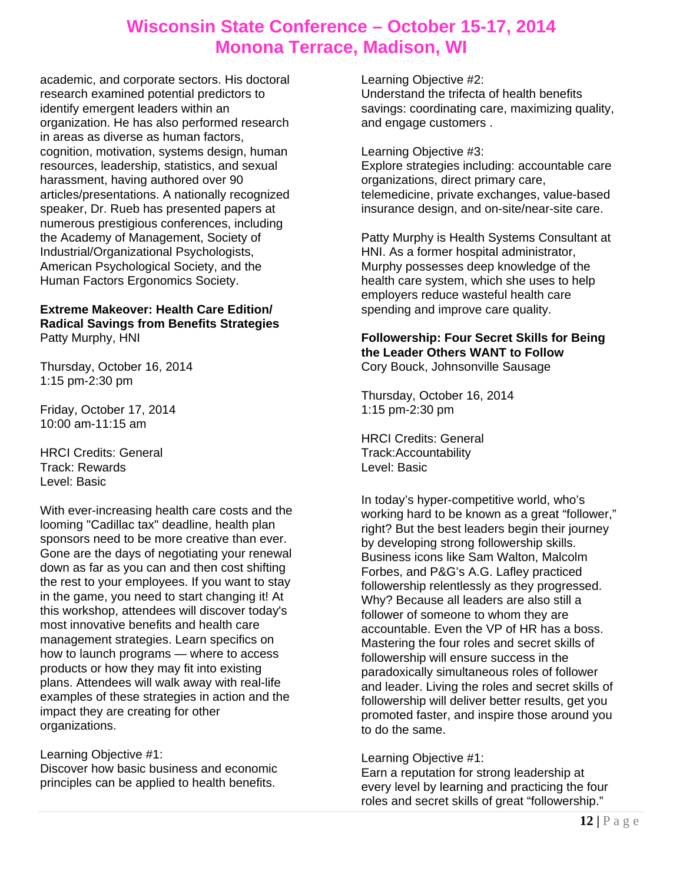academic, and corporate sectors. His doctoral research examined potential predictors to identify emergent leaders within an organization. He has also performed research in areas as diverse as human factors, cognition, motivation, systems design, human resources, leadership, statistics, and sexual harassment, having authored over 90 articles/presentations. A nationally recognized speaker, Dr. Rueb has presented papers at numerous prestigious conferences, including the Academy of Management, Society of Industrial/Organizational Psychologists, American Psychological Society, and the Human Factors Ergonomics Society.

#### **Extreme Makeover: Health Care Edition/ Radical Savings from Benefits Strategies**  Patty Murphy, HNI

Thursday, October 16, 2014 1:15 pm-2:30 pm

Friday, October 17, 2014 10:00 am-11:15 am

HRCI Credits: General Track: Rewards Level: Basic

With ever-increasing health care costs and the looming "Cadillac tax" deadline, health plan sponsors need to be more creative than ever. Gone are the days of negotiating your renewal down as far as you can and then cost shifting the rest to your employees. If you want to stay in the game, you need to start changing it! At this workshop, attendees will discover today's most innovative benefits and health care management strategies. Learn specifics on how to launch programs — where to access products or how they may fit into existing plans. Attendees will walk away with real-life examples of these strategies in action and the impact they are creating for other organizations.

### Learning Objective #1:

Discover how basic business and economic principles can be applied to health benefits.

Learning Objective #2: Understand the trifecta of health benefits savings: coordinating care, maximizing quality, and engage customers .

#### Learning Objective #3:

Explore strategies including: accountable care organizations, direct primary care, telemedicine, private exchanges, value-based insurance design, and on-site/near-site care.

Patty Murphy is Health Systems Consultant at HNI. As a former hospital administrator, Murphy possesses deep knowledge of the health care system, which she uses to help employers reduce wasteful health care spending and improve care quality.

#### **Followership: Four Secret Skills for Being the Leader Others WANT to Follow**  Cory Bouck, Johnsonville Sausage

Thursday, October 16, 2014 1:15 pm-2:30 pm

HRCI Credits: General Track:Accountability Level: Basic

In today's hyper-competitive world, who's working hard to be known as a great "follower," right? But the best leaders begin their journey by developing strong followership skills. Business icons like Sam Walton, Malcolm Forbes, and P&G's A.G. Lafley practiced followership relentlessly as they progressed. Why? Because all leaders are also still a follower of someone to whom they are accountable. Even the VP of HR has a boss. Mastering the four roles and secret skills of followership will ensure success in the paradoxically simultaneous roles of follower and leader. Living the roles and secret skills of followership will deliver better results, get you promoted faster, and inspire those around you to do the same.

### Learning Objective #1:

Earn a reputation for strong leadership at every level by learning and practicing the four roles and secret skills of great "followership."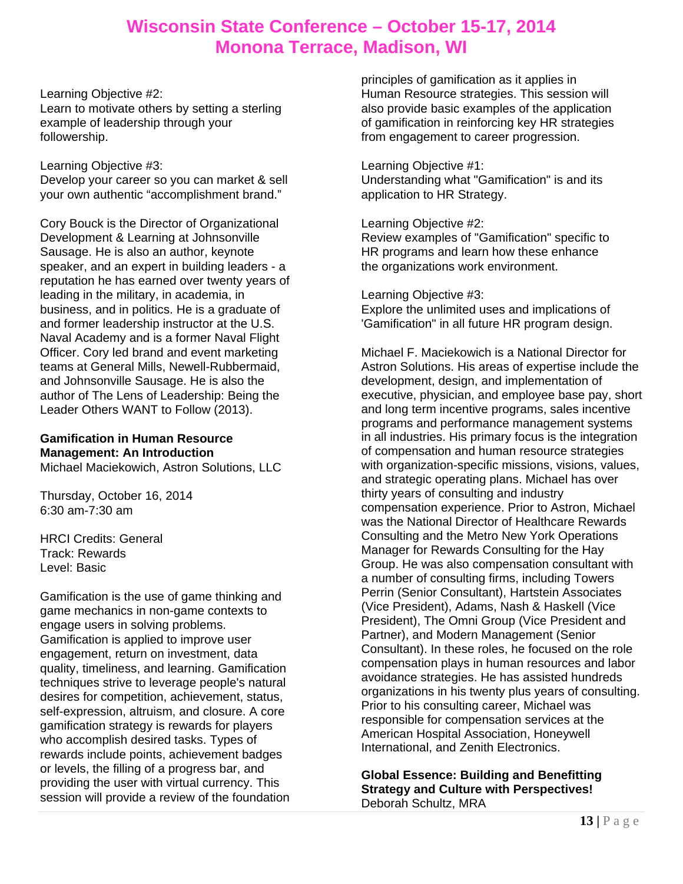Learning Objective #2: Learn to motivate others by setting a sterling example of leadership through your followership.

#### Learning Objective #3:

Develop your career so you can market & sell your own authentic "accomplishment brand."

Cory Bouck is the Director of Organizational Development & Learning at Johnsonville Sausage. He is also an author, keynote speaker, and an expert in building leaders - a reputation he has earned over twenty years of leading in the military, in academia, in business, and in politics. He is a graduate of and former leadership instructor at the U.S. Naval Academy and is a former Naval Flight Officer. Cory led brand and event marketing teams at General Mills, Newell-Rubbermaid, and Johnsonville Sausage. He is also the author of The Lens of Leadership: Being the Leader Others WANT to Follow (2013).

### **Gamification in Human Resource Management: An Introduction**

Michael Maciekowich, Astron Solutions, LLC

Thursday, October 16, 2014 6:30 am-7:30 am

HRCI Credits: General Track: Rewards Level: Basic

Gamification is the use of game thinking and game mechanics in non-game contexts to engage users in solving problems. Gamification is applied to improve user engagement, return on investment, data quality, timeliness, and learning. Gamification techniques strive to leverage people's natural desires for competition, achievement, status, self-expression, altruism, and closure. A core gamification strategy is rewards for players who accomplish desired tasks. Types of rewards include points, achievement badges or levels, the filling of a progress bar, and providing the user with virtual currency. This session will provide a review of the foundation

principles of gamification as it applies in Human Resource strategies. This session will also provide basic examples of the application of gamification in reinforcing key HR strategies from engagement to career progression.

#### Learning Objective #1:

Understanding what "Gamification" is and its application to HR Strategy.

#### Learning Objective #2:

Review examples of "Gamification" specific to HR programs and learn how these enhance the organizations work environment.

#### Learning Objective #3:

Explore the unlimited uses and implications of 'Gamification" in all future HR program design.

Michael F. Maciekowich is a National Director for Astron Solutions. His areas of expertise include the development, design, and implementation of executive, physician, and employee base pay, short and long term incentive programs, sales incentive programs and performance management systems in all industries. His primary focus is the integration of compensation and human resource strategies with organization-specific missions, visions, values, and strategic operating plans. Michael has over thirty years of consulting and industry compensation experience. Prior to Astron, Michael was the National Director of Healthcare Rewards Consulting and the Metro New York Operations Manager for Rewards Consulting for the Hay Group. He was also compensation consultant with a number of consulting firms, including Towers Perrin (Senior Consultant), Hartstein Associates (Vice President), Adams, Nash & Haskell (Vice President), The Omni Group (Vice President and Partner), and Modern Management (Senior Consultant). In these roles, he focused on the role compensation plays in human resources and labor avoidance strategies. He has assisted hundreds organizations in his twenty plus years of consulting. Prior to his consulting career, Michael was responsible for compensation services at the American Hospital Association, Honeywell International, and Zenith Electronics.

**Global Essence: Building and Benefitting Strategy and Culture with Perspectives!**  Deborah Schultz, MRA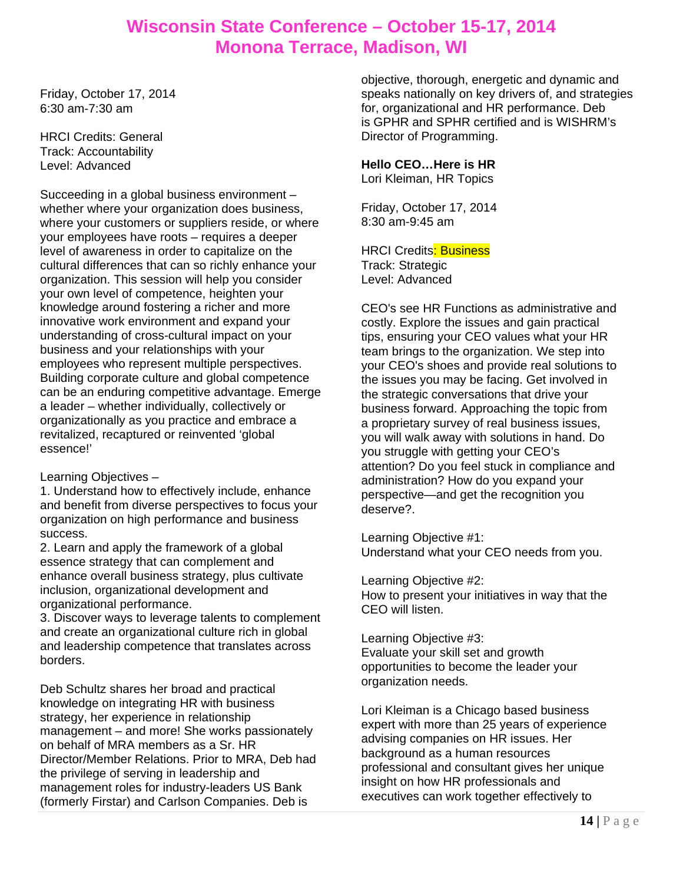Friday, October 17, 2014 6:30 am-7:30 am

HRCI Credits: General Track: Accountability Level: Advanced

Succeeding in a global business environment – whether where your organization does business, where your customers or suppliers reside, or where your employees have roots – requires a deeper level of awareness in order to capitalize on the cultural differences that can so richly enhance your organization. This session will help you consider your own level of competence, heighten your knowledge around fostering a richer and more innovative work environment and expand your understanding of cross-cultural impact on your business and your relationships with your employees who represent multiple perspectives. Building corporate culture and global competence can be an enduring competitive advantage. Emerge a leader – whether individually, collectively or organizationally as you practice and embrace a revitalized, recaptured or reinvented 'global essence!'

Learning Objectives –

1. Understand how to effectively include, enhance and benefit from diverse perspectives to focus your organization on high performance and business success.

2. Learn and apply the framework of a global essence strategy that can complement and enhance overall business strategy, plus cultivate inclusion, organizational development and organizational performance.

3. Discover ways to leverage talents to complement and create an organizational culture rich in global and leadership competence that translates across borders.

Deb Schultz shares her broad and practical knowledge on integrating HR with business strategy, her experience in relationship management – and more! She works passionately on behalf of MRA members as a Sr. HR Director/Member Relations. Prior to MRA, Deb had the privilege of serving in leadership and management roles for industry-leaders US Bank (formerly Firstar) and Carlson Companies. Deb is

objective, thorough, energetic and dynamic and speaks nationally on key drivers of, and strategies for, organizational and HR performance. Deb is GPHR and SPHR certified and is WISHRM's Director of Programming.

### **Hello CEO…Here is HR**

Lori Kleiman, HR Topics

Friday, October 17, 2014 8:30 am-9:45 am

**HRCI Credits: Business** Track: Strategic Level: Advanced

CEO's see HR Functions as administrative and costly. Explore the issues and gain practical tips, ensuring your CEO values what your HR team brings to the organization. We step into your CEO's shoes and provide real solutions to the issues you may be facing. Get involved in the strategic conversations that drive your business forward. Approaching the topic from a proprietary survey of real business issues, you will walk away with solutions in hand. Do you struggle with getting your CEO's attention? Do you feel stuck in compliance and administration? How do you expand your perspective—and get the recognition you deserve?.

Learning Objective #1: Understand what your CEO needs from you.

Learning Objective #2: How to present your initiatives in way that the CEO will listen.

Learning Objective #3: Evaluate your skill set and growth opportunities to become the leader your organization needs.

Lori Kleiman is a Chicago based business expert with more than 25 years of experience advising companies on HR issues. Her background as a human resources professional and consultant gives her unique insight on how HR professionals and executives can work together effectively to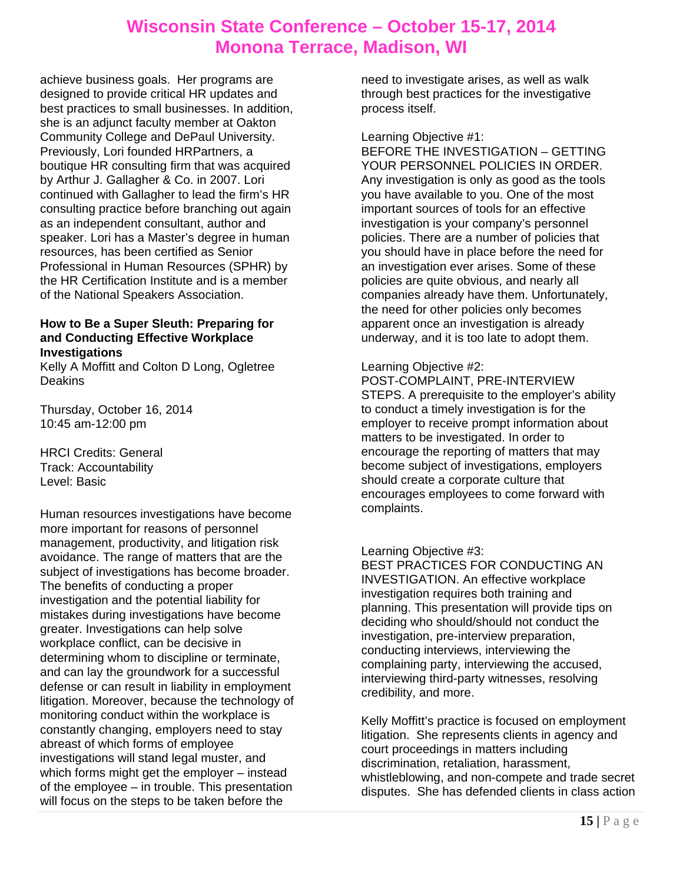achieve business goals. Her programs are designed to provide critical HR updates and best practices to small businesses. In addition, she is an adjunct faculty member at Oakton Community College and DePaul University. Previously, Lori founded HRPartners, a boutique HR consulting firm that was acquired by Arthur J. Gallagher & Co. in 2007. Lori continued with Gallagher to lead the firm's HR consulting practice before branching out again as an independent consultant, author and speaker. Lori has a Master's degree in human resources, has been certified as Senior Professional in Human Resources (SPHR) by the HR Certification Institute and is a member of the National Speakers Association.

### **How to Be a Super Sleuth: Preparing for and Conducting Effective Workplace Investigations**

Kelly A Moffitt and Colton D Long, Ogletree Deakins

Thursday, October 16, 2014 10:45 am-12:00 pm

HRCI Credits: General Track: Accountability Level: Basic

Human resources investigations have become more important for reasons of personnel management, productivity, and litigation risk avoidance. The range of matters that are the subject of investigations has become broader. The benefits of conducting a proper investigation and the potential liability for mistakes during investigations have become greater. Investigations can help solve workplace conflict, can be decisive in determining whom to discipline or terminate, and can lay the groundwork for a successful defense or can result in liability in employment litigation. Moreover, because the technology of monitoring conduct within the workplace is constantly changing, employers need to stay abreast of which forms of employee investigations will stand legal muster, and which forms might get the employer – instead of the employee – in trouble. This presentation will focus on the steps to be taken before the

need to investigate arises, as well as walk through best practices for the investigative process itself.

Learning Objective #1:

BEFORE THE INVESTIGATION – GETTING YOUR PERSONNEL POLICIES IN ORDER. Any investigation is only as good as the tools you have available to you. One of the most important sources of tools for an effective investigation is your company's personnel policies. There are a number of policies that you should have in place before the need for an investigation ever arises. Some of these policies are quite obvious, and nearly all companies already have them. Unfortunately, the need for other policies only becomes apparent once an investigation is already underway, and it is too late to adopt them.

### Learning Objective #2:

POST-COMPLAINT, PRE-INTERVIEW STEPS. A prerequisite to the employer's ability to conduct a timely investigation is for the employer to receive prompt information about matters to be investigated. In order to encourage the reporting of matters that may become subject of investigations, employers should create a corporate culture that encourages employees to come forward with complaints.

### Learning Objective #3:

BEST PRACTICES FOR CONDUCTING AN INVESTIGATION. An effective workplace investigation requires both training and planning. This presentation will provide tips on deciding who should/should not conduct the investigation, pre-interview preparation, conducting interviews, interviewing the complaining party, interviewing the accused, interviewing third-party witnesses, resolving credibility, and more.

Kelly Moffitt's practice is focused on employment litigation. She represents clients in agency and court proceedings in matters including discrimination, retaliation, harassment, whistleblowing, and non-compete and trade secret disputes. She has defended clients in class action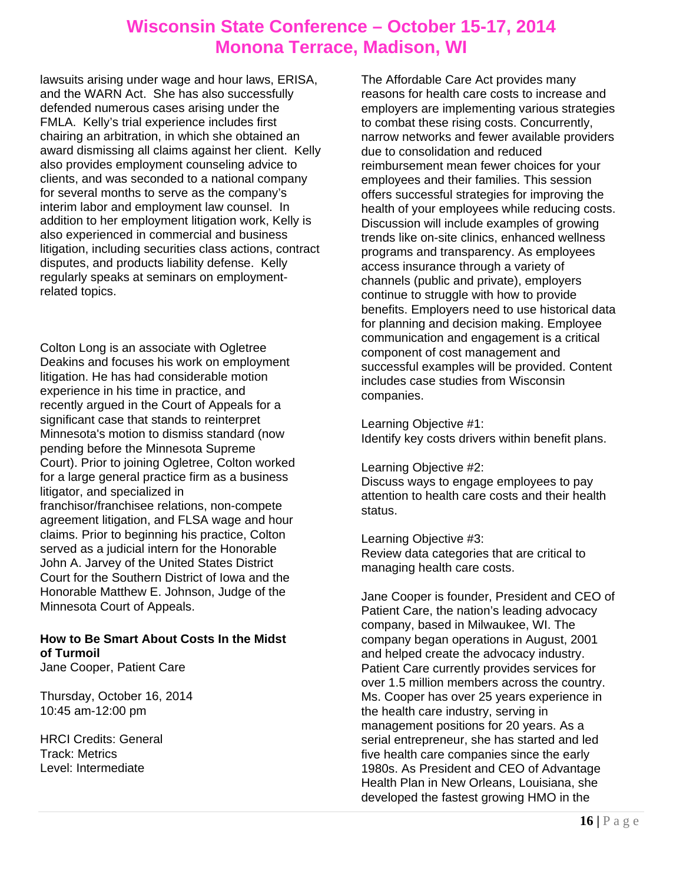lawsuits arising under wage and hour laws, ERISA, and the WARN Act. She has also successfully defended numerous cases arising under the FMLA. Kelly's trial experience includes first chairing an arbitration, in which she obtained an award dismissing all claims against her client. Kelly also provides employment counseling advice to clients, and was seconded to a national company for several months to serve as the company's interim labor and employment law counsel. In addition to her employment litigation work, Kelly is also experienced in commercial and business litigation, including securities class actions, contract disputes, and products liability defense. Kelly regularly speaks at seminars on employmentrelated topics.

Colton Long is an associate with Ogletree Deakins and focuses his work on employment litigation. He has had considerable motion experience in his time in practice, and recently argued in the Court of Appeals for a significant case that stands to reinterpret Minnesota's motion to dismiss standard (now pending before the Minnesota Supreme Court). Prior to joining Ogletree, Colton worked for a large general practice firm as a business litigator, and specialized in franchisor/franchisee relations, non-compete agreement litigation, and FLSA wage and hour claims. Prior to beginning his practice, Colton served as a judicial intern for the Honorable John A. Jarvey of the United States District Court for the Southern District of Iowa and the Honorable Matthew E. Johnson, Judge of the Minnesota Court of Appeals.

### **How to Be Smart About Costs In the Midst of Turmoil**

Jane Cooper, Patient Care

Thursday, October 16, 2014 10:45 am-12:00 pm

HRCI Credits: General Track: Metrics Level: Intermediate

The Affordable Care Act provides many reasons for health care costs to increase and employers are implementing various strategies to combat these rising costs. Concurrently, narrow networks and fewer available providers due to consolidation and reduced reimbursement mean fewer choices for your employees and their families. This session offers successful strategies for improving the health of your employees while reducing costs. Discussion will include examples of growing trends like on-site clinics, enhanced wellness programs and transparency. As employees access insurance through a variety of channels (public and private), employers continue to struggle with how to provide benefits. Employers need to use historical data for planning and decision making. Employee communication and engagement is a critical component of cost management and successful examples will be provided. Content includes case studies from Wisconsin companies.

Learning Objective #1: Identify key costs drivers within benefit plans.

Learning Objective #2:

Discuss ways to engage employees to pay attention to health care costs and their health status.

Learning Objective #3: Review data categories that are critical to managing health care costs.

Jane Cooper is founder, President and CEO of Patient Care, the nation's leading advocacy company, based in Milwaukee, WI. The company began operations in August, 2001 and helped create the advocacy industry. Patient Care currently provides services for over 1.5 million members across the country. Ms. Cooper has over 25 years experience in the health care industry, serving in management positions for 20 years. As a serial entrepreneur, she has started and led five health care companies since the early 1980s. As President and CEO of Advantage Health Plan in New Orleans, Louisiana, she developed the fastest growing HMO in the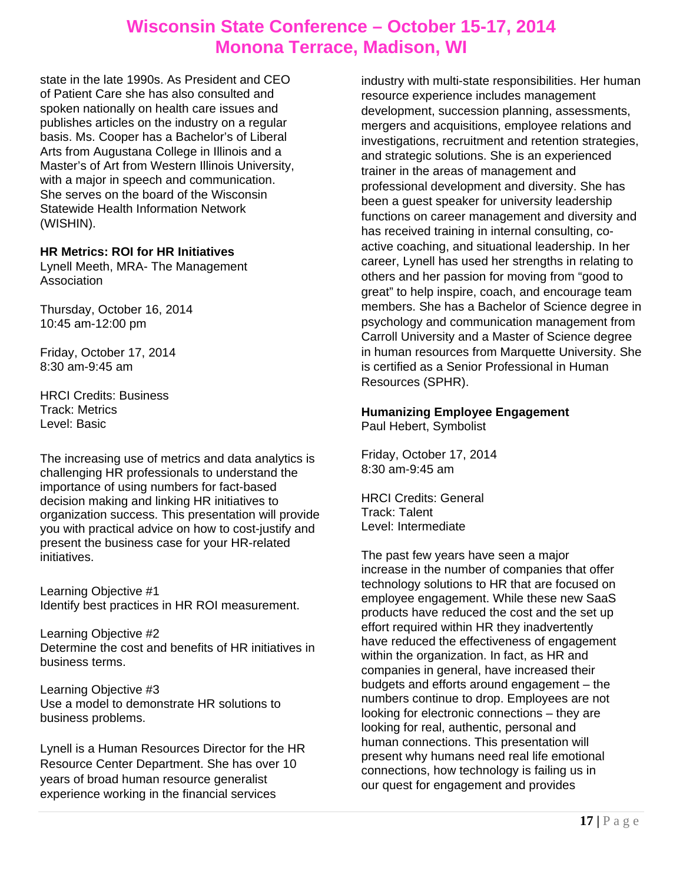state in the late 1990s. As President and CEO of Patient Care she has also consulted and spoken nationally on health care issues and publishes articles on the industry on a regular basis. Ms. Cooper has a Bachelor's of Liberal Arts from Augustana College in Illinois and a Master's of Art from Western Illinois University, with a major in speech and communication. She serves on the board of the Wisconsin Statewide Health Information Network (WISHIN).

### **HR Metrics: ROI for HR Initiatives**

Lynell Meeth, MRA- The Management Association

Thursday, October 16, 2014 10:45 am-12:00 pm

Friday, October 17, 2014 8:30 am-9:45 am

HRCI Credits: Business Track: Metrics Level: Basic

The increasing use of metrics and data analytics is challenging HR professionals to understand the importance of using numbers for fact-based decision making and linking HR initiatives to organization success. This presentation will provide you with practical advice on how to cost-justify and present the business case for your HR-related initiatives.

Learning Objective #1 Identify best practices in HR ROI measurement.

Learning Objective #2 Determine the cost and benefits of HR initiatives in business terms.

Learning Objective #3 Use a model to demonstrate HR solutions to business problems.

Lynell is a Human Resources Director for the HR Resource Center Department. She has over 10 years of broad human resource generalist experience working in the financial services

industry with multi-state responsibilities. Her human resource experience includes management development, succession planning, assessments, mergers and acquisitions, employee relations and investigations, recruitment and retention strategies, and strategic solutions. She is an experienced trainer in the areas of management and professional development and diversity. She has been a guest speaker for university leadership functions on career management and diversity and has received training in internal consulting, coactive coaching, and situational leadership. In her career, Lynell has used her strengths in relating to others and her passion for moving from "good to great" to help inspire, coach, and encourage team members. She has a Bachelor of Science degree in psychology and communication management from Carroll University and a Master of Science degree in human resources from Marquette University. She is certified as a Senior Professional in Human Resources (SPHR).

### **Humanizing Employee Engagement**

Paul Hebert, Symbolist

Friday, October 17, 2014 8:30 am-9:45 am

HRCI Credits: General Track: Talent Level: Intermediate

The past few years have seen a major increase in the number of companies that offer technology solutions to HR that are focused on employee engagement. While these new SaaS products have reduced the cost and the set up effort required within HR they inadvertently have reduced the effectiveness of engagement within the organization. In fact, as HR and companies in general, have increased their budgets and efforts around engagement – the numbers continue to drop. Employees are not looking for electronic connections – they are looking for real, authentic, personal and human connections. This presentation will present why humans need real life emotional connections, how technology is failing us in our quest for engagement and provides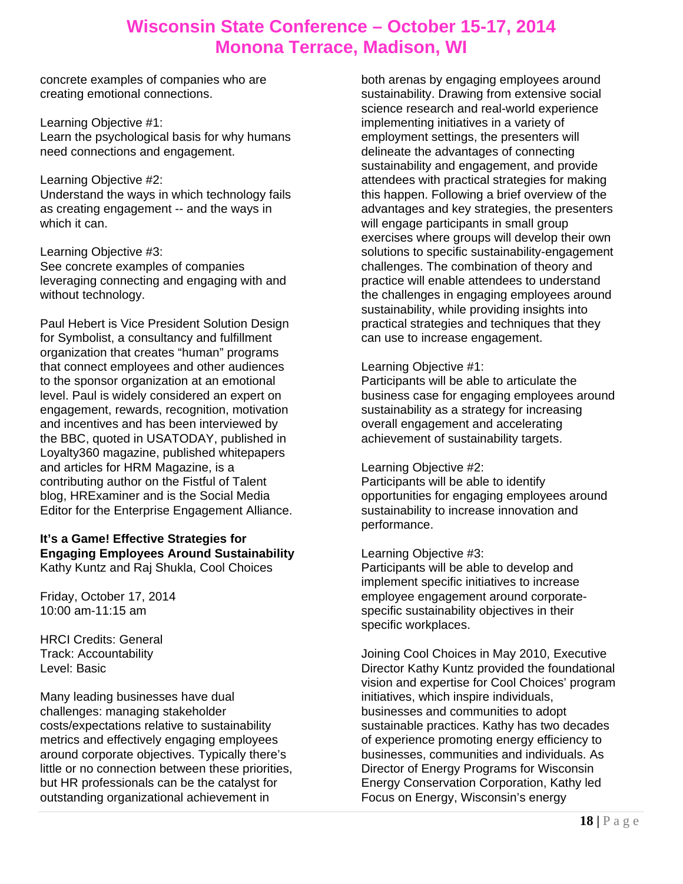concrete examples of companies who are creating emotional connections.

Learning Objective #1: Learn the psychological basis for why humans need connections and engagement.

#### Learning Objective #2:

Understand the ways in which technology fails as creating engagement -- and the ways in which it can.

Learning Objective #3: See concrete examples of companies leveraging connecting and engaging with and without technology.

Paul Hebert is Vice President Solution Design for Symbolist, a consultancy and fulfillment organization that creates "human" programs that connect employees and other audiences to the sponsor organization at an emotional level. Paul is widely considered an expert on engagement, rewards, recognition, motivation and incentives and has been interviewed by the BBC, quoted in USATODAY, published in Loyalty360 magazine, published whitepapers and articles for HRM Magazine, is a contributing author on the Fistful of Talent blog, HRExaminer and is the Social Media Editor for the Enterprise Engagement Alliance.

#### **It's a Game! Effective Strategies for Engaging Employees Around Sustainability**  Kathy Kuntz and Raj Shukla, Cool Choices

Friday, October 17, 2014 10:00 am-11:15 am

HRCI Credits: General Track: Accountability Level: Basic

Many leading businesses have dual challenges: managing stakeholder costs/expectations relative to sustainability metrics and effectively engaging employees around corporate objectives. Typically there's little or no connection between these priorities, but HR professionals can be the catalyst for outstanding organizational achievement in

both arenas by engaging employees around sustainability. Drawing from extensive social science research and real-world experience implementing initiatives in a variety of employment settings, the presenters will delineate the advantages of connecting sustainability and engagement, and provide attendees with practical strategies for making this happen. Following a brief overview of the advantages and key strategies, the presenters will engage participants in small group exercises where groups will develop their own solutions to specific sustainability-engagement challenges. The combination of theory and practice will enable attendees to understand the challenges in engaging employees around sustainability, while providing insights into practical strategies and techniques that they can use to increase engagement.

### Learning Objective #1:

Participants will be able to articulate the business case for engaging employees around sustainability as a strategy for increasing overall engagement and accelerating achievement of sustainability targets.

### Learning Objective #2:

Participants will be able to identify opportunities for engaging employees around sustainability to increase innovation and performance.

### Learning Objective #3:

Participants will be able to develop and implement specific initiatives to increase employee engagement around corporatespecific sustainability objectives in their specific workplaces.

Joining Cool Choices in May 2010, Executive Director Kathy Kuntz provided the foundational vision and expertise for Cool Choices' program initiatives, which inspire individuals, businesses and communities to adopt sustainable practices. Kathy has two decades of experience promoting energy efficiency to businesses, communities and individuals. As Director of Energy Programs for Wisconsin Energy Conservation Corporation, Kathy led Focus on Energy, Wisconsin's energy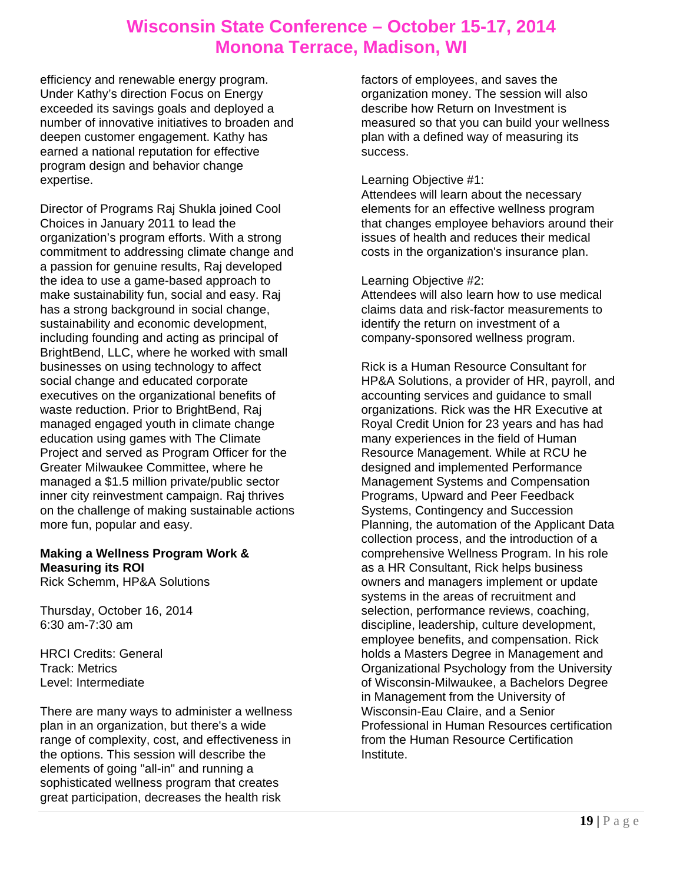efficiency and renewable energy program. Under Kathy's direction Focus on Energy exceeded its savings goals and deployed a number of innovative initiatives to broaden and deepen customer engagement. Kathy has earned a national reputation for effective program design and behavior change expertise.

Director of Programs Raj Shukla joined Cool Choices in January 2011 to lead the organization's program efforts. With a strong commitment to addressing climate change and a passion for genuine results, Raj developed the idea to use a game-based approach to make sustainability fun, social and easy. Raj has a strong background in social change, sustainability and economic development, including founding and acting as principal of BrightBend, LLC, where he worked with small businesses on using technology to affect social change and educated corporate executives on the organizational benefits of waste reduction. Prior to BrightBend, Raj managed engaged youth in climate change education using games with The Climate Project and served as Program Officer for the Greater Milwaukee Committee, where he managed a \$1.5 million private/public sector inner city reinvestment campaign. Raj thrives on the challenge of making sustainable actions more fun, popular and easy.

### **Making a Wellness Program Work & Measuring its ROI**

Rick Schemm, HP&A Solutions

Thursday, October 16, 2014 6:30 am-7:30 am

HRCI Credits: General Track: Metrics Level: Intermediate

There are many ways to administer a wellness plan in an organization, but there's a wide range of complexity, cost, and effectiveness in the options. This session will describe the elements of going "all-in" and running a sophisticated wellness program that creates great participation, decreases the health risk

factors of employees, and saves the organization money. The session will also describe how Return on Investment is measured so that you can build your wellness plan with a defined way of measuring its success.

### Learning Objective #1:

Attendees will learn about the necessary elements for an effective wellness program that changes employee behaviors around their issues of health and reduces their medical costs in the organization's insurance plan.

#### Learning Objective #2:

Attendees will also learn how to use medical claims data and risk-factor measurements to identify the return on investment of a company-sponsored wellness program.

Rick is a Human Resource Consultant for HP&A Solutions, a provider of HR, payroll, and accounting services and guidance to small organizations. Rick was the HR Executive at Royal Credit Union for 23 years and has had many experiences in the field of Human Resource Management. While at RCU he designed and implemented Performance Management Systems and Compensation Programs, Upward and Peer Feedback Systems, Contingency and Succession Planning, the automation of the Applicant Data collection process, and the introduction of a comprehensive Wellness Program. In his role as a HR Consultant, Rick helps business owners and managers implement or update systems in the areas of recruitment and selection, performance reviews, coaching, discipline, leadership, culture development, employee benefits, and compensation. Rick holds a Masters Degree in Management and Organizational Psychology from the University of Wisconsin-Milwaukee, a Bachelors Degree in Management from the University of Wisconsin-Eau Claire, and a Senior Professional in Human Resources certification from the Human Resource Certification Institute.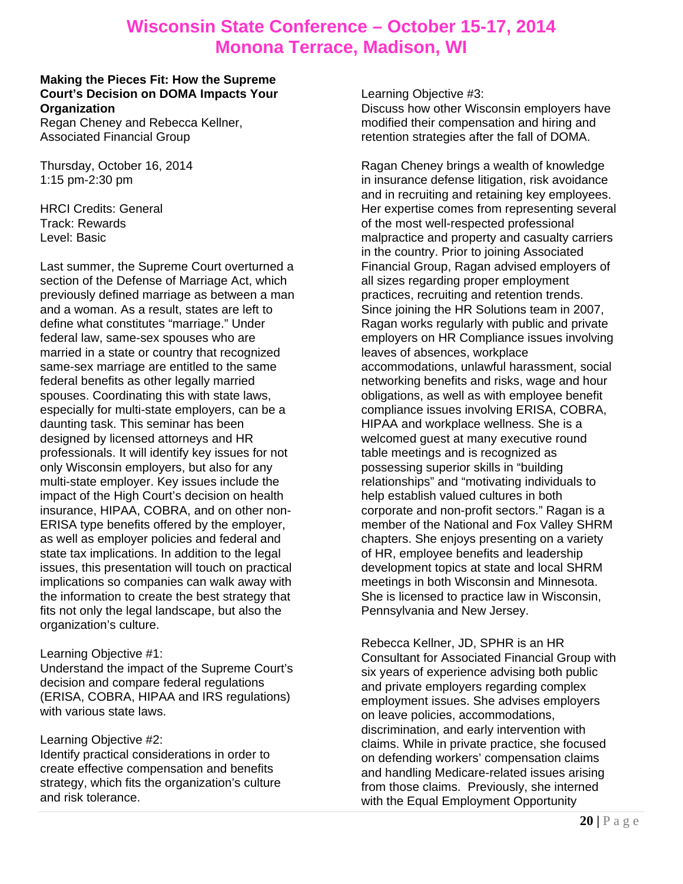#### **Making the Pieces Fit: How the Supreme Court's Decision on DOMA Impacts Your Organization**

Regan Cheney and Rebecca Kellner, Associated Financial Group

Thursday, October 16, 2014 1:15 pm-2:30 pm

HRCI Credits: General Track: Rewards Level: Basic

Last summer, the Supreme Court overturned a section of the Defense of Marriage Act, which previously defined marriage as between a man and a woman. As a result, states are left to define what constitutes "marriage." Under federal law, same-sex spouses who are married in a state or country that recognized same-sex marriage are entitled to the same federal benefits as other legally married spouses. Coordinating this with state laws, especially for multi-state employers, can be a daunting task. This seminar has been designed by licensed attorneys and HR professionals. It will identify key issues for not only Wisconsin employers, but also for any multi-state employer. Key issues include the impact of the High Court's decision on health insurance, HIPAA, COBRA, and on other non-ERISA type benefits offered by the employer, as well as employer policies and federal and state tax implications. In addition to the legal issues, this presentation will touch on practical implications so companies can walk away with the information to create the best strategy that fits not only the legal landscape, but also the organization's culture.

### Learning Objective #1:

Understand the impact of the Supreme Court's decision and compare federal regulations (ERISA, COBRA, HIPAA and IRS regulations) with various state laws.

### Learning Objective #2:

Identify practical considerations in order to create effective compensation and benefits strategy, which fits the organization's culture and risk tolerance.

Learning Objective #3:

Discuss how other Wisconsin employers have modified their compensation and hiring and retention strategies after the fall of DOMA.

Ragan Cheney brings a wealth of knowledge in insurance defense litigation, risk avoidance and in recruiting and retaining key employees. Her expertise comes from representing several of the most well-respected professional malpractice and property and casualty carriers in the country. Prior to joining Associated Financial Group, Ragan advised employers of all sizes regarding proper employment practices, recruiting and retention trends. Since joining the HR Solutions team in 2007, Ragan works regularly with public and private employers on HR Compliance issues involving leaves of absences, workplace accommodations, unlawful harassment, social networking benefits and risks, wage and hour obligations, as well as with employee benefit compliance issues involving ERISA, COBRA, HIPAA and workplace wellness. She is a welcomed guest at many executive round table meetings and is recognized as possessing superior skills in "building relationships" and "motivating individuals to help establish valued cultures in both corporate and non-profit sectors." Ragan is a member of the National and Fox Valley SHRM chapters. She enjoys presenting on a variety of HR, employee benefits and leadership development topics at state and local SHRM meetings in both Wisconsin and Minnesota. She is licensed to practice law in Wisconsin, Pennsylvania and New Jersey.

Rebecca Kellner, JD, SPHR is an HR Consultant for Associated Financial Group with six years of experience advising both public and private employers regarding complex employment issues. She advises employers on leave policies, accommodations, discrimination, and early intervention with claims. While in private practice, she focused on defending workers' compensation claims and handling Medicare-related issues arising from those claims. Previously, she interned with the Equal Employment Opportunity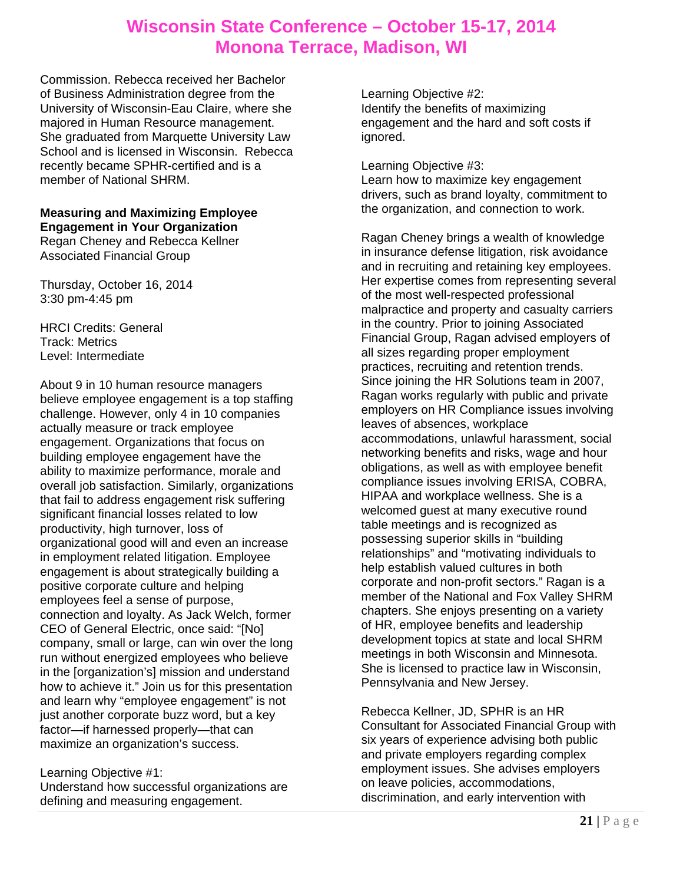Commission. Rebecca received her Bachelor of Business Administration degree from the University of Wisconsin-Eau Claire, where she majored in Human Resource management. She graduated from Marquette University Law School and is licensed in Wisconsin. Rebecca recently became SPHR-certified and is a member of National SHRM.

### **Measuring and Maximizing Employee Engagement in Your Organization**

Regan Cheney and Rebecca Kellner Associated Financial Group

Thursday, October 16, 2014 3:30 pm-4:45 pm

HRCI Credits: General Track: Metrics Level: Intermediate

About 9 in 10 human resource managers believe employee engagement is a top staffing challenge. However, only 4 in 10 companies actually measure or track employee engagement. Organizations that focus on building employee engagement have the ability to maximize performance, morale and overall job satisfaction. Similarly, organizations that fail to address engagement risk suffering significant financial losses related to low productivity, high turnover, loss of organizational good will and even an increase in employment related litigation. Employee engagement is about strategically building a positive corporate culture and helping employees feel a sense of purpose, connection and loyalty. As Jack Welch, former CEO of General Electric, once said: "[No] company, small or large, can win over the long run without energized employees who believe in the [organization's] mission and understand how to achieve it." Join us for this presentation and learn why "employee engagement" is not just another corporate buzz word, but a key factor—if harnessed properly—that can maximize an organization's success.

### Learning Objective #1:

Understand how successful organizations are defining and measuring engagement.

Learning Objective #2: Identify the benefits of maximizing engagement and the hard and soft costs if ignored.

Learning Objective #3:

Learn how to maximize key engagement drivers, such as brand loyalty, commitment to the organization, and connection to work.

Ragan Cheney brings a wealth of knowledge in insurance defense litigation, risk avoidance and in recruiting and retaining key employees. Her expertise comes from representing several of the most well-respected professional malpractice and property and casualty carriers in the country. Prior to joining Associated Financial Group, Ragan advised employers of all sizes regarding proper employment practices, recruiting and retention trends. Since joining the HR Solutions team in 2007, Ragan works regularly with public and private employers on HR Compliance issues involving leaves of absences, workplace accommodations, unlawful harassment, social networking benefits and risks, wage and hour obligations, as well as with employee benefit compliance issues involving ERISA, COBRA, HIPAA and workplace wellness. She is a welcomed guest at many executive round table meetings and is recognized as possessing superior skills in "building relationships" and "motivating individuals to help establish valued cultures in both corporate and non-profit sectors." Ragan is a member of the National and Fox Valley SHRM chapters. She enjoys presenting on a variety of HR, employee benefits and leadership development topics at state and local SHRM meetings in both Wisconsin and Minnesota. She is licensed to practice law in Wisconsin, Pennsylvania and New Jersey.

Rebecca Kellner, JD, SPHR is an HR Consultant for Associated Financial Group with six years of experience advising both public and private employers regarding complex employment issues. She advises employers on leave policies, accommodations, discrimination, and early intervention with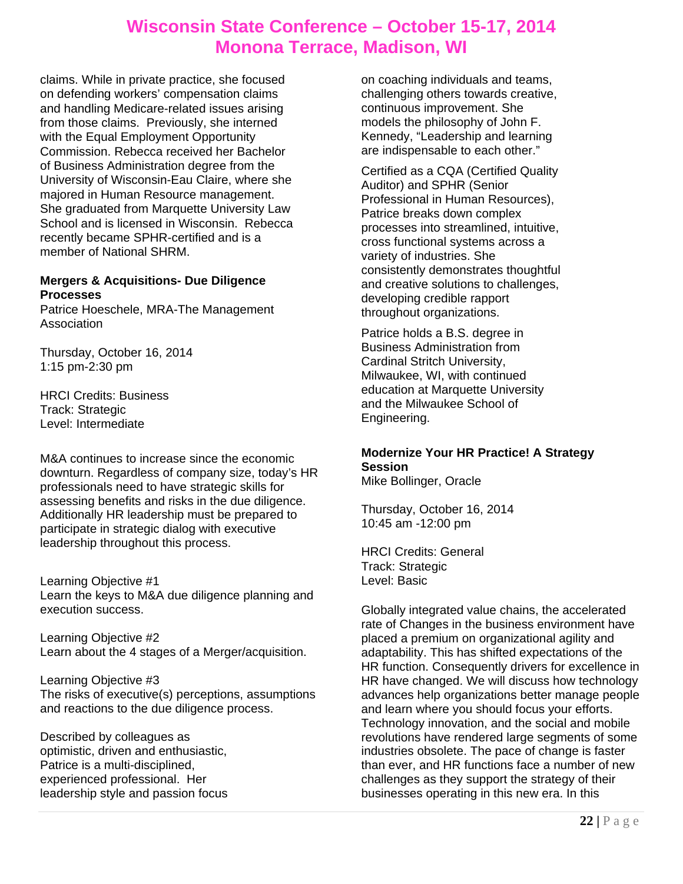claims. While in private practice, she focused on defending workers' compensation claims and handling Medicare-related issues arising from those claims. Previously, she interned with the Equal Employment Opportunity Commission. Rebecca received her Bachelor of Business Administration degree from the University of Wisconsin-Eau Claire, where she majored in Human Resource management. She graduated from Marquette University Law School and is licensed in Wisconsin. Rebecca recently became SPHR-certified and is a member of National SHRM.

### **Mergers & Acquisitions- Due Diligence Processes**

Patrice Hoeschele, MRA-The Management Association

Thursday, October 16, 2014 1:15 pm-2:30 pm

HRCI Credits: Business Track: Strategic Level: Intermediate

M&A continues to increase since the economic downturn. Regardless of company size, today's HR professionals need to have strategic skills for assessing benefits and risks in the due diligence. Additionally HR leadership must be prepared to participate in strategic dialog with executive leadership throughout this process.

Learning Objective #1 Learn the keys to M&A due diligence planning and execution success.

Learning Objective #2 Learn about the 4 stages of a Merger/acquisition.

Learning Objective #3 The risks of executive(s) perceptions, assumptions and reactions to the due diligence process.

Described by colleagues as optimistic, driven and enthusiastic, Patrice is a multi-disciplined, experienced professional. Her leadership style and passion focus

on coaching individuals and teams, challenging others towards creative, continuous improvement. She models the philosophy of John F. Kennedy, "Leadership and learning are indispensable to each other."

Certified as a CQA (Certified Quality Auditor) and SPHR (Senior Professional in Human Resources), Patrice breaks down complex processes into streamlined, intuitive, cross functional systems across a variety of industries. She consistently demonstrates thoughtful and creative solutions to challenges, developing credible rapport throughout organizations.

Patrice holds a B.S. degree in Business Administration from Cardinal Stritch University, Milwaukee, WI, with continued education at Marquette University and the Milwaukee School of Engineering.

## **Modernize Your HR Practice! A Strategy Session**

Mike Bollinger, Oracle

Thursday, October 16, 2014 10:45 am -12:00 pm

HRCI Credits: General Track: Strategic Level: Basic

Globally integrated value chains, the accelerated rate of Changes in the business environment have placed a premium on organizational agility and adaptability. This has shifted expectations of the HR function. Consequently drivers for excellence in HR have changed. We will discuss how technology advances help organizations better manage people and learn where you should focus your efforts. Technology innovation, and the social and mobile revolutions have rendered large segments of some industries obsolete. The pace of change is faster than ever, and HR functions face a number of new challenges as they support the strategy of their businesses operating in this new era. In this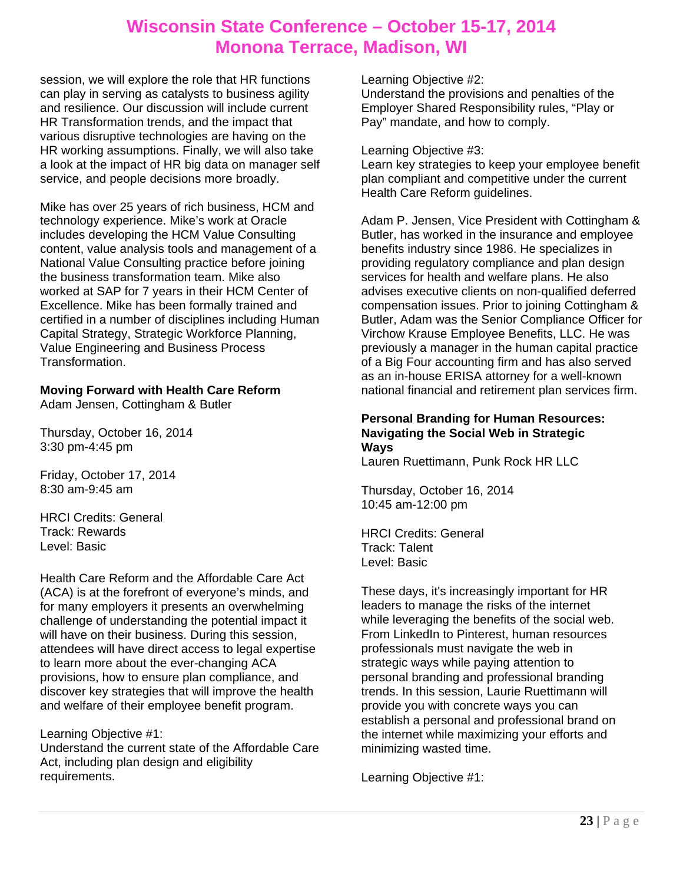session, we will explore the role that HR functions can play in serving as catalysts to business agility and resilience. Our discussion will include current HR Transformation trends, and the impact that various disruptive technologies are having on the HR working assumptions. Finally, we will also take a look at the impact of HR big data on manager self service, and people decisions more broadly.

Mike has over 25 years of rich business, HCM and technology experience. Mike's work at Oracle includes developing the HCM Value Consulting content, value analysis tools and management of a National Value Consulting practice before joining the business transformation team. Mike also worked at SAP for 7 years in their HCM Center of Excellence. Mike has been formally trained and certified in a number of disciplines including Human Capital Strategy, Strategic Workforce Planning, Value Engineering and Business Process Transformation.

#### **Moving Forward with Health Care Reform**  Adam Jensen, Cottingham & Butler

Thursday, October 16, 2014 3:30 pm-4:45 pm

Friday, October 17, 2014 8:30 am-9:45 am

HRCI Credits: General Track: Rewards Level: Basic

Health Care Reform and the Affordable Care Act (ACA) is at the forefront of everyone's minds, and for many employers it presents an overwhelming challenge of understanding the potential impact it will have on their business. During this session, attendees will have direct access to legal expertise to learn more about the ever-changing ACA provisions, how to ensure plan compliance, and discover key strategies that will improve the health and welfare of their employee benefit program.

Learning Objective #1:

Understand the current state of the Affordable Care Act, including plan design and eligibility requirements.

Learning Objective #2:

Understand the provisions and penalties of the Employer Shared Responsibility rules, "Play or Pay" mandate, and how to comply.

Learning Objective #3:

Learn key strategies to keep your employee benefit plan compliant and competitive under the current Health Care Reform guidelines.

Adam P. Jensen, Vice President with Cottingham & Butler, has worked in the insurance and employee benefits industry since 1986. He specializes in providing regulatory compliance and plan design services for health and welfare plans. He also advises executive clients on non-qualified deferred compensation issues. Prior to joining Cottingham & Butler, Adam was the Senior Compliance Officer for Virchow Krause Employee Benefits, LLC. He was previously a manager in the human capital practice of a Big Four accounting firm and has also served as an in-house ERISA attorney for a well-known national financial and retirement plan services firm.

### **Personal Branding for Human Resources: Navigating the Social Web in Strategic Ways**

Lauren Ruettimann, Punk Rock HR LLC

Thursday, October 16, 2014 10:45 am-12:00 pm

HRCI Credits: General Track: Talent Level: Basic

These days, it's increasingly important for HR leaders to manage the risks of the internet while leveraging the benefits of the social web. From LinkedIn to Pinterest, human resources professionals must navigate the web in strategic ways while paying attention to personal branding and professional branding trends. In this session, Laurie Ruettimann will provide you with concrete ways you can establish a personal and professional brand on the internet while maximizing your efforts and minimizing wasted time.

Learning Objective #1: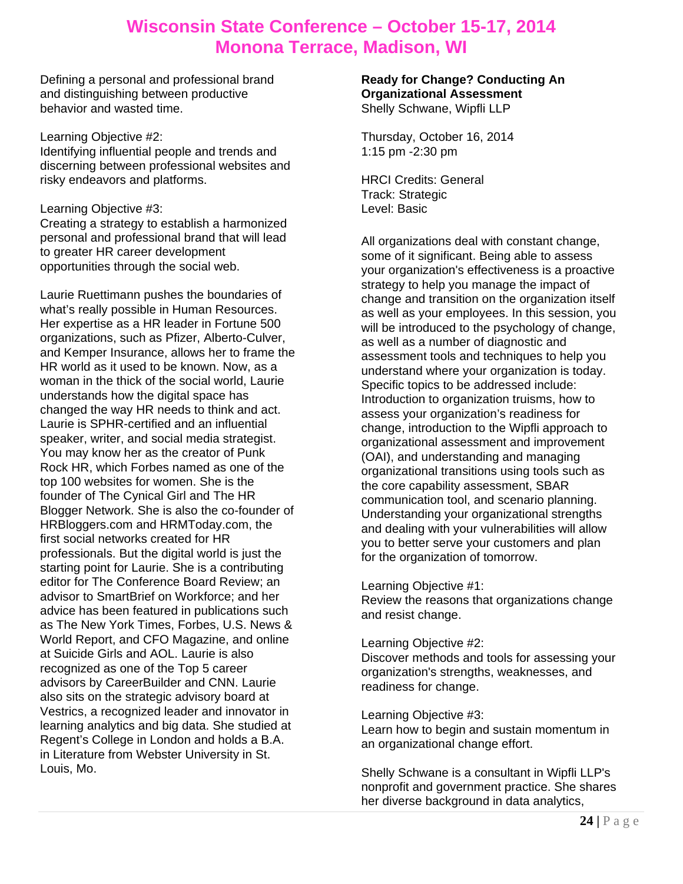Defining a personal and professional brand and distinguishing between productive behavior and wasted time.

Learning Objective #2: Identifying influential people and trends and discerning between professional websites and risky endeavors and platforms.

Learning Objective #3:

Creating a strategy to establish a harmonized personal and professional brand that will lead to greater HR career development opportunities through the social web.

Laurie Ruettimann pushes the boundaries of what's really possible in Human Resources. Her expertise as a HR leader in Fortune 500 organizations, such as Pfizer, Alberto-Culver, and Kemper Insurance, allows her to frame the HR world as it used to be known. Now, as a woman in the thick of the social world, Laurie understands how the digital space has changed the way HR needs to think and act. Laurie is SPHR-certified and an influential speaker, writer, and social media strategist. You may know her as the creator of Punk Rock HR, which Forbes named as one of the top 100 websites for women. She is the founder of The Cynical Girl and The HR Blogger Network. She is also the co-founder of HRBloggers.com and HRMToday.com, the first social networks created for HR professionals. But the digital world is just the starting point for Laurie. She is a contributing editor for The Conference Board Review; an advisor to SmartBrief on Workforce; and her advice has been featured in publications such as The New York Times, Forbes, U.S. News & World Report, and CFO Magazine, and online at Suicide Girls and AOL. Laurie is also recognized as one of the Top 5 career advisors by CareerBuilder and CNN. Laurie also sits on the strategic advisory board at Vestrics, a recognized leader and innovator in learning analytics and big data. She studied at Regent's College in London and holds a B.A. in Literature from Webster University in St. Louis, Mo.

#### **Ready for Change? Conducting An Organizational Assessment**  Shelly Schwane, Wipfli LLP

Thursday, October 16, 2014 1:15 pm -2:30 pm

HRCI Credits: General Track: Strategic Level: Basic

All organizations deal with constant change, some of it significant. Being able to assess your organization's effectiveness is a proactive strategy to help you manage the impact of change and transition on the organization itself as well as your employees. In this session, you will be introduced to the psychology of change, as well as a number of diagnostic and assessment tools and techniques to help you understand where your organization is today. Specific topics to be addressed include: Introduction to organization truisms, how to assess your organization's readiness for change, introduction to the Wipfli approach to organizational assessment and improvement (OAI), and understanding and managing organizational transitions using tools such as the core capability assessment, SBAR communication tool, and scenario planning. Understanding your organizational strengths and dealing with your vulnerabilities will allow you to better serve your customers and plan for the organization of tomorrow.

### Learning Objective #1:

Review the reasons that organizations change and resist change.

#### Learning Objective #2:

Discover methods and tools for assessing your organization's strengths, weaknesses, and readiness for change.

### Learning Objective #3:

Learn how to begin and sustain momentum in an organizational change effort.

Shelly Schwane is a consultant in Wipfli LLP's nonprofit and government practice. She shares her diverse background in data analytics,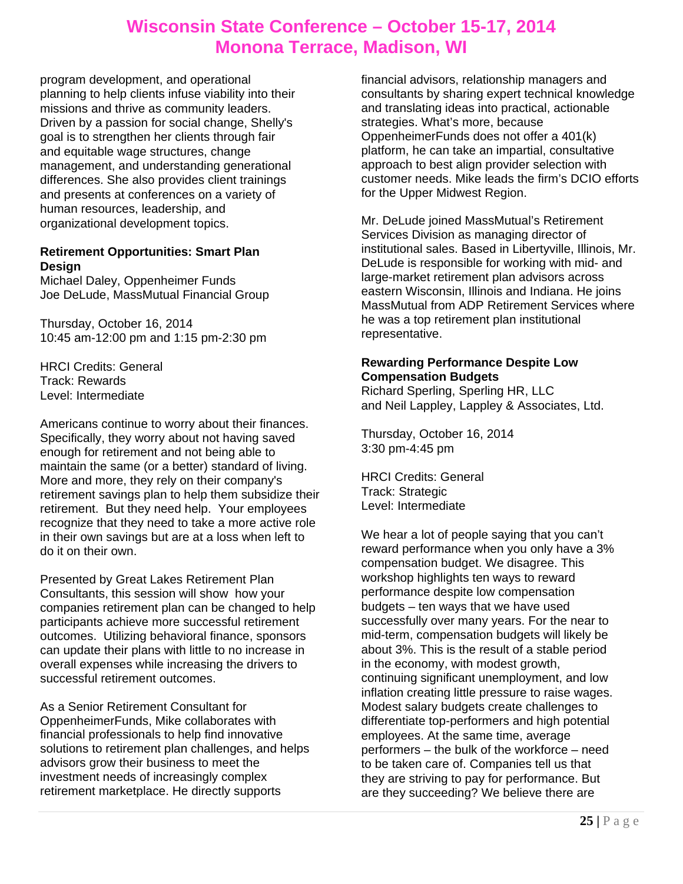program development, and operational planning to help clients infuse viability into their missions and thrive as community leaders. Driven by a passion for social change, Shelly's goal is to strengthen her clients through fair and equitable wage structures, change management, and understanding generational differences. She also provides client trainings and presents at conferences on a variety of human resources, leadership, and organizational development topics.

### **Retirement Opportunities: Smart Plan Design**

Michael Daley, Oppenheimer Funds Joe DeLude, MassMutual Financial Group

Thursday, October 16, 2014 10:45 am-12:00 pm and 1:15 pm-2:30 pm

HRCI Credits: General Track: Rewards Level: Intermediate

Americans continue to worry about their finances. Specifically, they worry about not having saved enough for retirement and not being able to maintain the same (or a better) standard of living. More and more, they rely on their company's retirement savings plan to help them subsidize their retirement. But they need help. Your employees recognize that they need to take a more active role in their own savings but are at a loss when left to do it on their own.

Presented by Great Lakes Retirement Plan Consultants, this session will show how your companies retirement plan can be changed to help participants achieve more successful retirement outcomes. Utilizing behavioral finance, sponsors can update their plans with little to no increase in overall expenses while increasing the drivers to successful retirement outcomes.

As a Senior Retirement Consultant for OppenheimerFunds, Mike collaborates with financial professionals to help find innovative solutions to retirement plan challenges, and helps advisors grow their business to meet the investment needs of increasingly complex retirement marketplace. He directly supports

financial advisors, relationship managers and consultants by sharing expert technical knowledge and translating ideas into practical, actionable strategies. What's more, because OppenheimerFunds does not offer a 401(k) platform, he can take an impartial, consultative approach to best align provider selection with customer needs. Mike leads the firm's DCIO efforts for the Upper Midwest Region.

Mr. DeLude joined MassMutual's Retirement Services Division as managing director of institutional sales. Based in Libertyville, Illinois, Mr. DeLude is responsible for working with mid- and large-market retirement plan advisors across eastern Wisconsin, Illinois and Indiana. He joins MassMutual from ADP Retirement Services where he was a top retirement plan institutional representative.

### **Rewarding Performance Despite Low Compensation Budgets**

Richard Sperling, Sperling HR, LLC and Neil Lappley, Lappley & Associates, Ltd.

Thursday, October 16, 2014 3:30 pm-4:45 pm

HRCI Credits: General Track: Strategic Level: Intermediate

We hear a lot of people saying that you can't reward performance when you only have a 3% compensation budget. We disagree. This workshop highlights ten ways to reward performance despite low compensation budgets – ten ways that we have used successfully over many years. For the near to mid-term, compensation budgets will likely be about 3%. This is the result of a stable period in the economy, with modest growth, continuing significant unemployment, and low inflation creating little pressure to raise wages. Modest salary budgets create challenges to differentiate top-performers and high potential employees. At the same time, average performers – the bulk of the workforce – need to be taken care of. Companies tell us that they are striving to pay for performance. But are they succeeding? We believe there are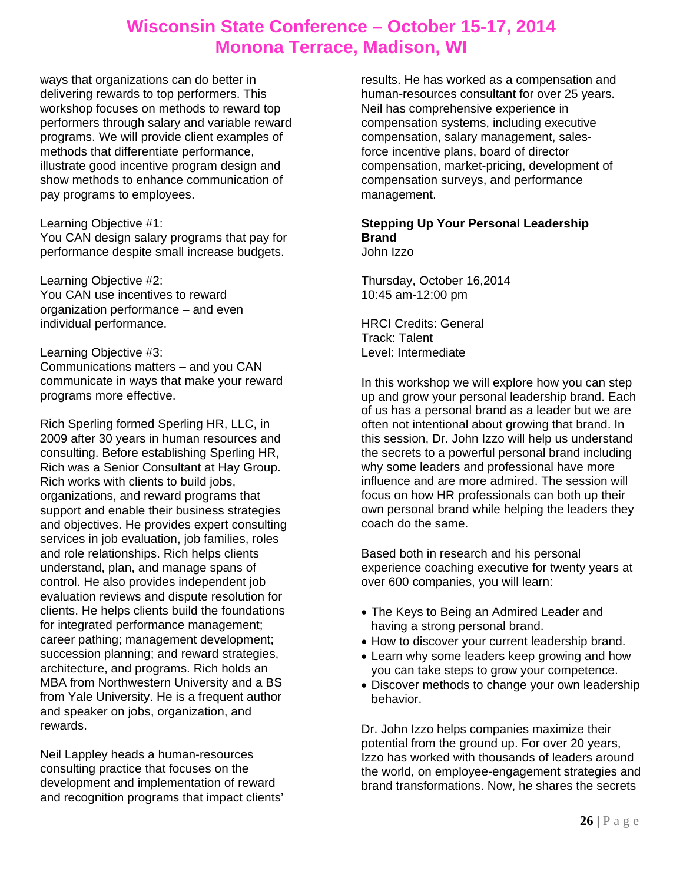ways that organizations can do better in delivering rewards to top performers. This workshop focuses on methods to reward top performers through salary and variable reward programs. We will provide client examples of methods that differentiate performance, illustrate good incentive program design and show methods to enhance communication of pay programs to employees.

#### Learning Objective #1:

You CAN design salary programs that pay for performance despite small increase budgets.

Learning Objective #2: You CAN use incentives to reward organization performance – and even individual performance.

### Learning Objective #3:

Communications matters – and you CAN communicate in ways that make your reward programs more effective.

Rich Sperling formed Sperling HR, LLC, in 2009 after 30 years in human resources and consulting. Before establishing Sperling HR, Rich was a Senior Consultant at Hay Group. Rich works with clients to build jobs, organizations, and reward programs that support and enable their business strategies and objectives. He provides expert consulting services in job evaluation, job families, roles and role relationships. Rich helps clients understand, plan, and manage spans of control. He also provides independent job evaluation reviews and dispute resolution for clients. He helps clients build the foundations for integrated performance management; career pathing; management development; succession planning; and reward strategies, architecture, and programs. Rich holds an MBA from Northwestern University and a BS from Yale University. He is a frequent author and speaker on jobs, organization, and rewards.

Neil Lappley heads a human-resources consulting practice that focuses on the development and implementation of reward and recognition programs that impact clients'

results. He has worked as a compensation and human-resources consultant for over 25 years. Neil has comprehensive experience in compensation systems, including executive compensation, salary management, salesforce incentive plans, board of director compensation, market-pricing, development of compensation surveys, and performance management.

### **Stepping Up Your Personal Leadership Brand**

John Izzo

Thursday, October 16,2014 10:45 am-12:00 pm

HRCI Credits: General Track: Talent Level: Intermediate

In this workshop we will explore how you can step up and grow your personal leadership brand. Each of us has a personal brand as a leader but we are often not intentional about growing that brand. In this session, Dr. John Izzo will help us understand the secrets to a powerful personal brand including why some leaders and professional have more influence and are more admired. The session will focus on how HR professionals can both up their own personal brand while helping the leaders they coach do the same.

Based both in research and his personal experience coaching executive for twenty years at over 600 companies, you will learn:

- The Keys to Being an Admired Leader and having a strong personal brand.
- How to discover your current leadership brand.
- Learn why some leaders keep growing and how you can take steps to grow your competence.
- Discover methods to change your own leadership behavior.

Dr. John Izzo helps companies maximize their potential from the ground up. For over 20 years, Izzo has worked with thousands of leaders around the world, on employee-engagement strategies and brand transformations. Now, he shares the secrets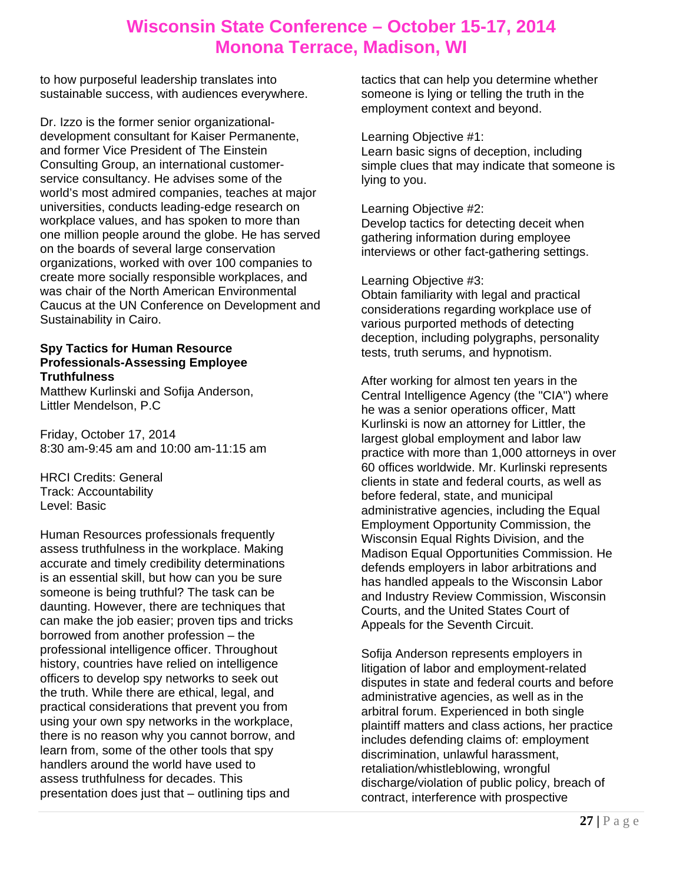to how purposeful leadership translates into sustainable success, with audiences everywhere.

Dr. Izzo is the former senior organizationaldevelopment consultant for Kaiser Permanente, and former Vice President of The Einstein Consulting Group, an international customerservice consultancy. He advises some of the world's most admired companies, teaches at major universities, conducts leading-edge research on workplace values, and has spoken to more than one million people around the globe. He has served on the boards of several large conservation organizations, worked with over 100 companies to create more socially responsible workplaces, and was chair of the North American Environmental Caucus at the UN Conference on Development and Sustainability in Cairo.

#### **Spy Tactics for Human Resource Professionals-Assessing Employee Truthfulness**

Matthew Kurlinski and Sofija Anderson, Littler Mendelson, P.C

Friday, October 17, 2014 8:30 am-9:45 am and 10:00 am-11:15 am

HRCI Credits: General Track: Accountability Level: Basic

Human Resources professionals frequently assess truthfulness in the workplace. Making accurate and timely credibility determinations is an essential skill, but how can you be sure someone is being truthful? The task can be daunting. However, there are techniques that can make the job easier; proven tips and tricks borrowed from another profession – the professional intelligence officer. Throughout history, countries have relied on intelligence officers to develop spy networks to seek out the truth. While there are ethical, legal, and practical considerations that prevent you from using your own spy networks in the workplace, there is no reason why you cannot borrow, and learn from, some of the other tools that spy handlers around the world have used to assess truthfulness for decades. This presentation does just that – outlining tips and

tactics that can help you determine whether someone is lying or telling the truth in the employment context and beyond.

### Learning Objective #1:

Learn basic signs of deception, including simple clues that may indicate that someone is lying to you.

#### Learning Objective #2:

Develop tactics for detecting deceit when gathering information during employee interviews or other fact-gathering settings.

### Learning Objective #3:

Obtain familiarity with legal and practical considerations regarding workplace use of various purported methods of detecting deception, including polygraphs, personality tests, truth serums, and hypnotism.

After working for almost ten years in the Central Intelligence Agency (the "CIA") where he was a senior operations officer, Matt Kurlinski is now an attorney for Littler, the largest global employment and labor law practice with more than 1,000 attorneys in over 60 offices worldwide. Mr. Kurlinski represents clients in state and federal courts, as well as before federal, state, and municipal administrative agencies, including the Equal Employment Opportunity Commission, the Wisconsin Equal Rights Division, and the Madison Equal Opportunities Commission. He defends employers in labor arbitrations and has handled appeals to the Wisconsin Labor and Industry Review Commission, Wisconsin Courts, and the United States Court of Appeals for the Seventh Circuit.

Sofija Anderson represents employers in litigation of labor and employment-related disputes in state and federal courts and before administrative agencies, as well as in the arbitral forum. Experienced in both single plaintiff matters and class actions, her practice includes defending claims of: employment discrimination, unlawful harassment, retaliation/whistleblowing, wrongful discharge/violation of public policy, breach of contract, interference with prospective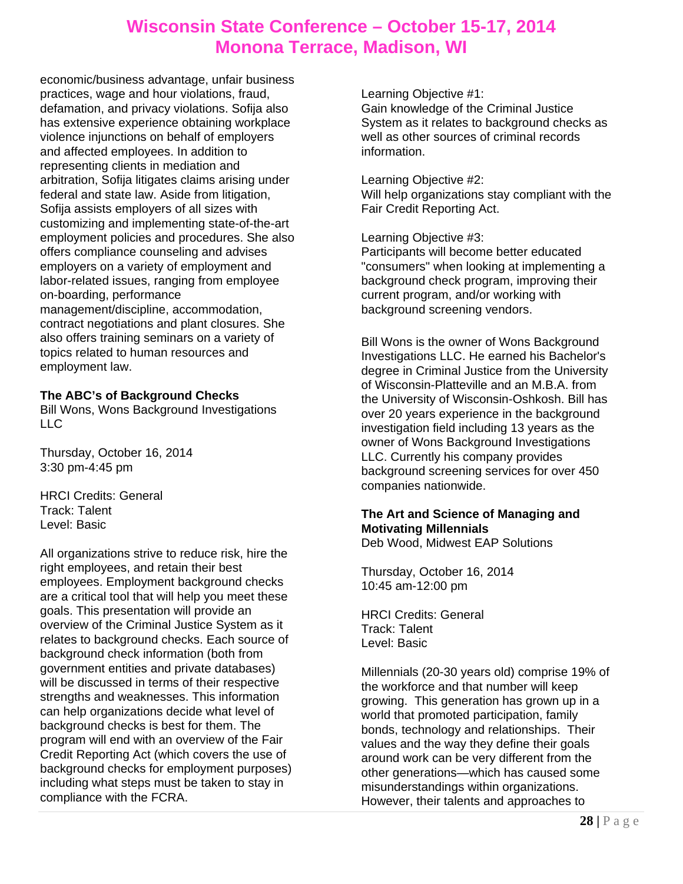economic/business advantage, unfair business practices, wage and hour violations, fraud, defamation, and privacy violations. Sofija also has extensive experience obtaining workplace violence injunctions on behalf of employers and affected employees. In addition to representing clients in mediation and arbitration, Sofija litigates claims arising under federal and state law. Aside from litigation, Sofija assists employers of all sizes with customizing and implementing state-of-the-art employment policies and procedures. She also offers compliance counseling and advises employers on a variety of employment and labor-related issues, ranging from employee on-boarding, performance management/discipline, accommodation, contract negotiations and plant closures. She also offers training seminars on a variety of topics related to human resources and employment law.

### **The ABC's of Background Checks**

Bill Wons, Wons Background Investigations LLC

Thursday, October 16, 2014 3:30 pm-4:45 pm

HRCI Credits: General Track: Talent Level: Basic

All organizations strive to reduce risk, hire the right employees, and retain their best employees. Employment background checks are a critical tool that will help you meet these goals. This presentation will provide an overview of the Criminal Justice System as it relates to background checks. Each source of background check information (both from government entities and private databases) will be discussed in terms of their respective strengths and weaknesses. This information can help organizations decide what level of background checks is best for them. The program will end with an overview of the Fair Credit Reporting Act (which covers the use of background checks for employment purposes) including what steps must be taken to stay in compliance with the FCRA.

Learning Objective #1:

Gain knowledge of the Criminal Justice System as it relates to background checks as well as other sources of criminal records information.

Learning Objective #2:

Will help organizations stay compliant with the Fair Credit Reporting Act.

Learning Objective #3:

Participants will become better educated "consumers" when looking at implementing a background check program, improving their current program, and/or working with background screening vendors.

Bill Wons is the owner of Wons Background Investigations LLC. He earned his Bachelor's degree in Criminal Justice from the University of Wisconsin-Platteville and an M.B.A. from the University of Wisconsin-Oshkosh. Bill has over 20 years experience in the background investigation field including 13 years as the owner of Wons Background Investigations LLC. Currently his company provides background screening services for over 450 companies nationwide.

## **The Art and Science of Managing and Motivating Millennials**

Deb Wood, Midwest EAP Solutions

Thursday, October 16, 2014 10:45 am-12:00 pm

HRCI Credits: General Track: Talent Level: Basic

Millennials (20-30 years old) comprise 19% of the workforce and that number will keep growing. This generation has grown up in a world that promoted participation, family bonds, technology and relationships. Their values and the way they define their goals around work can be very different from the other generations—which has caused some misunderstandings within organizations. However, their talents and approaches to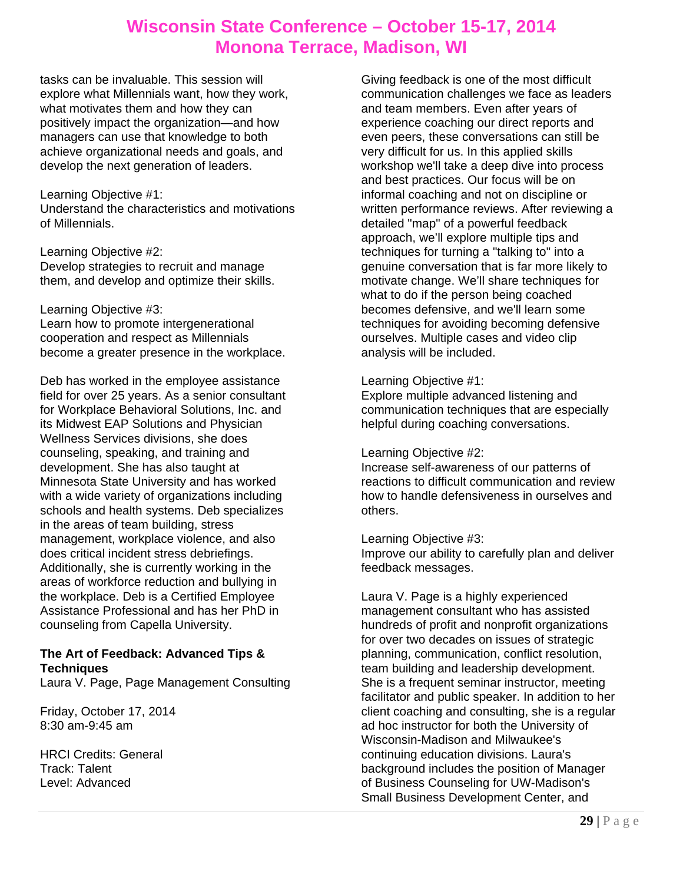tasks can be invaluable. This session will explore what Millennials want, how they work, what motivates them and how they can positively impact the organization—and how managers can use that knowledge to both achieve organizational needs and goals, and develop the next generation of leaders.

#### Learning Objective #1:

Understand the characteristics and motivations of Millennials.

Learning Objective #2: Develop strategies to recruit and manage them, and develop and optimize their skills.

#### Learning Objective #3:

Learn how to promote intergenerational cooperation and respect as Millennials become a greater presence in the workplace.

Deb has worked in the employee assistance field for over 25 years. As a senior consultant for Workplace Behavioral Solutions, Inc. and its Midwest EAP Solutions and Physician Wellness Services divisions, she does counseling, speaking, and training and development. She has also taught at Minnesota State University and has worked with a wide variety of organizations including schools and health systems. Deb specializes in the areas of team building, stress management, workplace violence, and also does critical incident stress debriefings. Additionally, she is currently working in the areas of workforce reduction and bullying in the workplace. Deb is a Certified Employee Assistance Professional and has her PhD in counseling from Capella University.

### **The Art of Feedback: Advanced Tips & Techniques**

Laura V. Page, Page Management Consulting

Friday, October 17, 2014 8:30 am-9:45 am

HRCI Credits: General Track: Talent Level: Advanced

Giving feedback is one of the most difficult communication challenges we face as leaders and team members. Even after years of experience coaching our direct reports and even peers, these conversations can still be very difficult for us. In this applied skills workshop we'll take a deep dive into process and best practices. Our focus will be on informal coaching and not on discipline or written performance reviews. After reviewing a detailed "map" of a powerful feedback approach, we'll explore multiple tips and techniques for turning a "talking to" into a genuine conversation that is far more likely to motivate change. We'll share techniques for what to do if the person being coached becomes defensive, and we'll learn some techniques for avoiding becoming defensive ourselves. Multiple cases and video clip analysis will be included.

### Learning Objective #1:

Explore multiple advanced listening and communication techniques that are especially helpful during coaching conversations.

### Learning Objective #2:

Increase self-awareness of our patterns of reactions to difficult communication and review how to handle defensiveness in ourselves and others.

Learning Objective #3:

Improve our ability to carefully plan and deliver feedback messages.

Laura V. Page is a highly experienced management consultant who has assisted hundreds of profit and nonprofit organizations for over two decades on issues of strategic planning, communication, conflict resolution, team building and leadership development. She is a frequent seminar instructor, meeting facilitator and public speaker. In addition to her client coaching and consulting, she is a regular ad hoc instructor for both the University of Wisconsin-Madison and Milwaukee's continuing education divisions. Laura's background includes the position of Manager of Business Counseling for UW-Madison's Small Business Development Center, and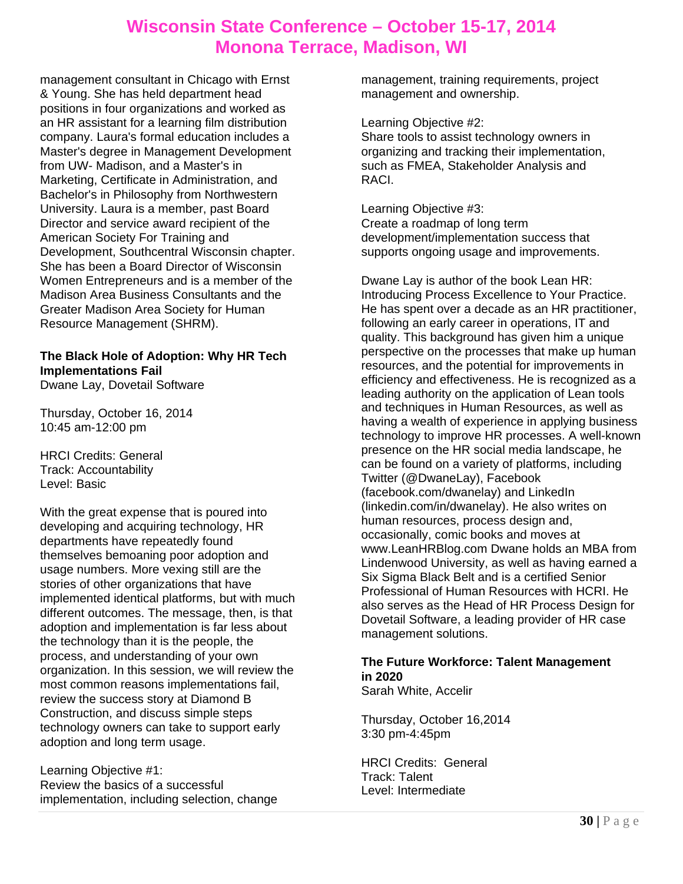management consultant in Chicago with Ernst & Young. She has held department head positions in four organizations and worked as an HR assistant for a learning film distribution company. Laura's formal education includes a Master's degree in Management Development from UW- Madison, and a Master's in Marketing, Certificate in Administration, and Bachelor's in Philosophy from Northwestern University. Laura is a member, past Board Director and service award recipient of the American Society For Training and Development, Southcentral Wisconsin chapter. She has been a Board Director of Wisconsin Women Entrepreneurs and is a member of the Madison Area Business Consultants and the Greater Madison Area Society for Human Resource Management (SHRM).

#### **The Black Hole of Adoption: Why HR Tech Implementations Fail**  Dwane Lay, Dovetail Software

Thursday, October 16, 2014

10:45 am-12:00 pm

HRCI Credits: General Track: Accountability Level: Basic

With the great expense that is poured into developing and acquiring technology, HR departments have repeatedly found themselves bemoaning poor adoption and usage numbers. More vexing still are the stories of other organizations that have implemented identical platforms, but with much different outcomes. The message, then, is that adoption and implementation is far less about the technology than it is the people, the process, and understanding of your own organization. In this session, we will review the most common reasons implementations fail, review the success story at Diamond B Construction, and discuss simple steps technology owners can take to support early adoption and long term usage.

Learning Objective #1: Review the basics of a successful implementation, including selection, change management, training requirements, project management and ownership.

Learning Objective #2:

Share tools to assist technology owners in organizing and tracking their implementation, such as FMEA, Stakeholder Analysis and RACI.

Learning Objective #3: Create a roadmap of long term development/implementation success that supports ongoing usage and improvements.

Dwane Lay is author of the book Lean HR: Introducing Process Excellence to Your Practice. He has spent over a decade as an HR practitioner, following an early career in operations, IT and quality. This background has given him a unique perspective on the processes that make up human resources, and the potential for improvements in efficiency and effectiveness. He is recognized as a leading authority on the application of Lean tools and techniques in Human Resources, as well as having a wealth of experience in applying business technology to improve HR processes. A well-known presence on the HR social media landscape, he can be found on a variety of platforms, including Twitter (@DwaneLay), Facebook (facebook.com/dwanelay) and LinkedIn (linkedin.com/in/dwanelay). He also writes on human resources, process design and, occasionally, comic books and moves at www.LeanHRBlog.com Dwane holds an MBA from Lindenwood University, as well as having earned a Six Sigma Black Belt and is a certified Senior Professional of Human Resources with HCRI. He also serves as the Head of HR Process Design for Dovetail Software, a leading provider of HR case management solutions.

### **The Future Workforce: Talent Management in 2020**

Sarah White, Accelir

Thursday, October 16,2014 3:30 pm-4:45pm

HRCI Credits: General Track: Talent Level: Intermediate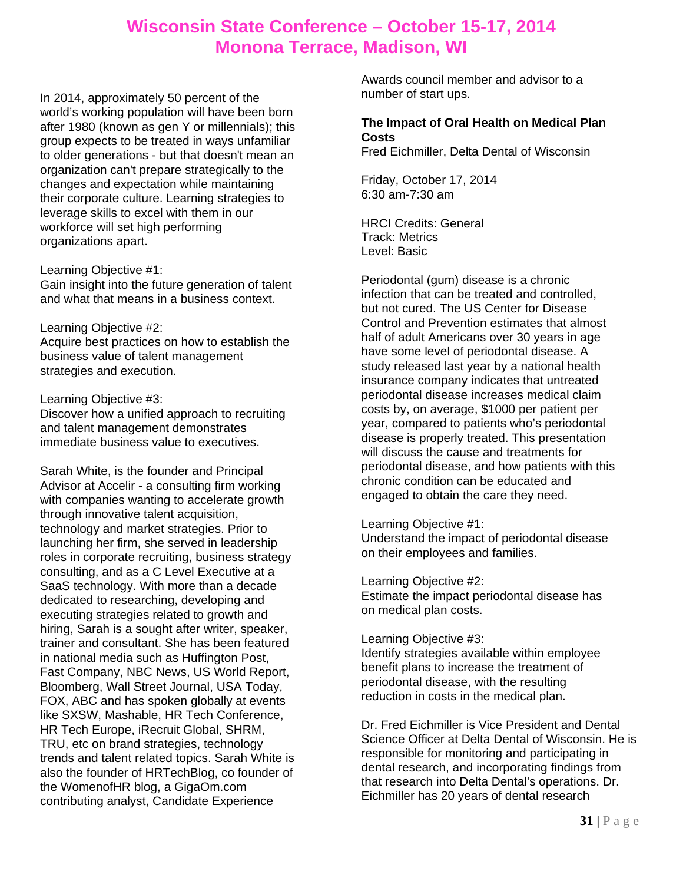In 2014, approximately 50 percent of the world's working population will have been born after 1980 (known as gen Y or millennials); this group expects to be treated in ways unfamiliar to older generations - but that doesn't mean an organization can't prepare strategically to the changes and expectation while maintaining their corporate culture. Learning strategies to leverage skills to excel with them in our workforce will set high performing organizations apart.

#### Learning Objective #1:

Gain insight into the future generation of talent and what that means in a business context.

#### Learning Objective #2:

Acquire best practices on how to establish the business value of talent management strategies and execution.

### Learning Objective #3:

Discover how a unified approach to recruiting and talent management demonstrates immediate business value to executives.

Sarah White, is the founder and Principal Advisor at Accelir - a consulting firm working with companies wanting to accelerate growth through innovative talent acquisition, technology and market strategies. Prior to launching her firm, she served in leadership roles in corporate recruiting, business strategy consulting, and as a C Level Executive at a SaaS technology. With more than a decade dedicated to researching, developing and executing strategies related to growth and hiring, Sarah is a sought after writer, speaker, trainer and consultant. She has been featured in national media such as Huffington Post, Fast Company, NBC News, US World Report, Bloomberg, Wall Street Journal, USA Today, FOX, ABC and has spoken globally at events like SXSW, Mashable, HR Tech Conference, HR Tech Europe, iRecruit Global, SHRM, TRU, etc on brand strategies, technology trends and talent related topics. Sarah White is also the founder of HRTechBlog, co founder of the WomenofHR blog, a GigaOm.com contributing analyst, Candidate Experience

Awards council member and advisor to a number of start ups.

### **The Impact of Oral Health on Medical Plan Costs**

Fred Eichmiller, Delta Dental of Wisconsin

Friday, October 17, 2014 6:30 am-7:30 am

HRCI Credits: General Track: Metrics Level: Basic

Periodontal (gum) disease is a chronic infection that can be treated and controlled, but not cured. The US Center for Disease Control and Prevention estimates that almost half of adult Americans over 30 years in age have some level of periodontal disease. A study released last year by a national health insurance company indicates that untreated periodontal disease increases medical claim costs by, on average, \$1000 per patient per year, compared to patients who's periodontal disease is properly treated. This presentation will discuss the cause and treatments for periodontal disease, and how patients with this chronic condition can be educated and engaged to obtain the care they need.

### Learning Objective #1:

Understand the impact of periodontal disease on their employees and families.

Learning Objective #2:

Estimate the impact periodontal disease has on medical plan costs.

### Learning Objective #3:

Identify strategies available within employee benefit plans to increase the treatment of periodontal disease, with the resulting reduction in costs in the medical plan.

Dr. Fred Eichmiller is Vice President and Dental Science Officer at Delta Dental of Wisconsin. He is responsible for monitoring and participating in dental research, and incorporating findings from that research into Delta Dental's operations. Dr. Eichmiller has 20 years of dental research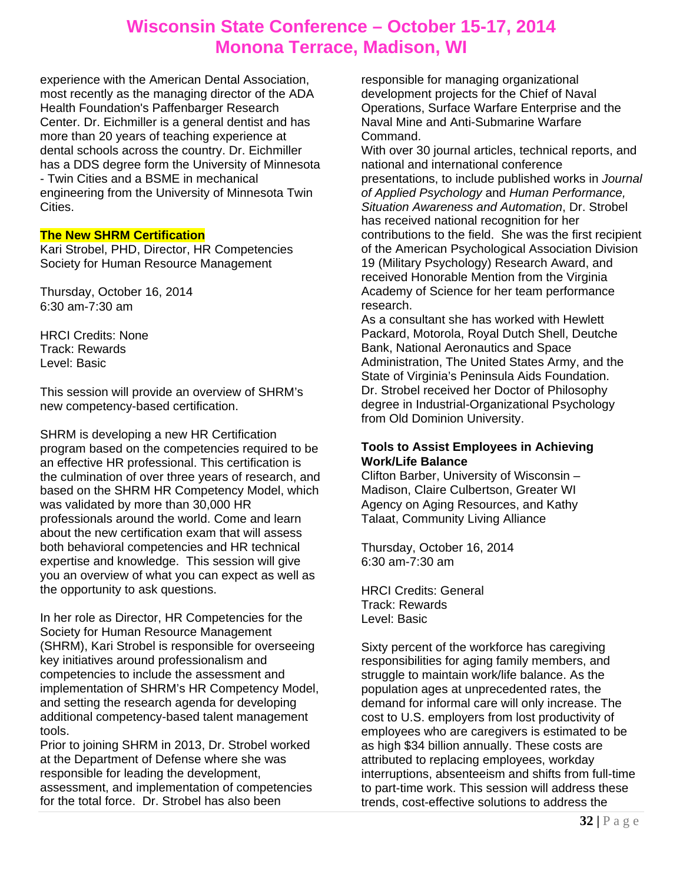experience with the American Dental Association, most recently as the managing director of the ADA Health Foundation's Paffenbarger Research Center. Dr. Eichmiller is a general dentist and has more than 20 years of teaching experience at dental schools across the country. Dr. Eichmiller has a DDS degree form the University of Minnesota - Twin Cities and a BSME in mechanical engineering from the University of Minnesota Twin Cities.

### **The New SHRM Certification**

Kari Strobel, PHD, Director, HR Competencies Society for Human Resource Management

Thursday, October 16, 2014 6:30 am-7:30 am

HRCI Credits: None Track: Rewards Level: Basic

This session will provide an overview of SHRM's new competency-based certification.

SHRM is developing a new HR Certification program based on the competencies required to be an effective HR professional. This certification is the culmination of over three years of research, and based on the SHRM HR Competency Model, which was validated by more than 30,000 HR professionals around the world. Come and learn about the new certification exam that will assess both behavioral competencies and HR technical expertise and knowledge. This session will give you an overview of what you can expect as well as the opportunity to ask questions.

In her role as Director, HR Competencies for the Society for Human Resource Management (SHRM), Kari Strobel is responsible for overseeing key initiatives around professionalism and competencies to include the assessment and implementation of SHRM's HR Competency Model, and setting the research agenda for developing additional competency-based talent management tools.

Prior to joining SHRM in 2013, Dr. Strobel worked at the Department of Defense where she was responsible for leading the development, assessment, and implementation of competencies for the total force. Dr. Strobel has also been

responsible for managing organizational development projects for the Chief of Naval Operations, Surface Warfare Enterprise and the Naval Mine and Anti-Submarine Warfare Command.

With over 30 journal articles, technical reports, and national and international conference presentations, to include published works in *Journal of Applied Psychology* and *Human Performance, Situation Awareness and Automation*, Dr. Strobel has received national recognition for her contributions to the field. She was the first recipient of the American Psychological Association Division 19 (Military Psychology) Research Award, and received Honorable Mention from the Virginia Academy of Science for her team performance research.

As a consultant she has worked with Hewlett Packard, Motorola, Royal Dutch Shell, Deutche Bank, National Aeronautics and Space Administration, The United States Army, and the State of Virginia's Peninsula Aids Foundation. Dr. Strobel received her Doctor of Philosophy degree in Industrial-Organizational Psychology from Old Dominion University.

### **Tools to Assist Employees in Achieving Work/Life Balance**

Clifton Barber, University of Wisconsin – Madison, Claire Culbertson, Greater WI Agency on Aging Resources, and Kathy Talaat, Community Living Alliance

Thursday, October 16, 2014 6:30 am-7:30 am

HRCI Credits: General Track: Rewards Level: Basic

Sixty percent of the workforce has caregiving responsibilities for aging family members, and struggle to maintain work/life balance. As the population ages at unprecedented rates, the demand for informal care will only increase. The cost to U.S. employers from lost productivity of employees who are caregivers is estimated to be as high \$34 billion annually. These costs are attributed to replacing employees, workday interruptions, absenteeism and shifts from full-time to part-time work. This session will address these trends, cost-effective solutions to address the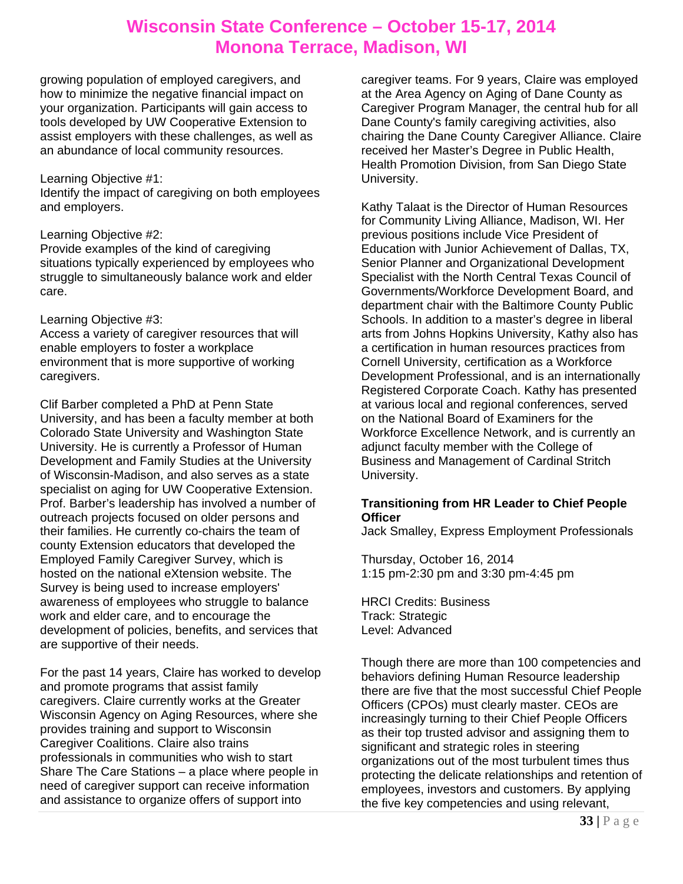growing population of employed caregivers, and how to minimize the negative financial impact on your organization. Participants will gain access to tools developed by UW Cooperative Extension to assist employers with these challenges, as well as an abundance of local community resources.

#### Learning Objective #1:

Identify the impact of caregiving on both employees and employers.

### Learning Objective #2:

Provide examples of the kind of caregiving situations typically experienced by employees who struggle to simultaneously balance work and elder care.

### Learning Objective #3:

Access a variety of caregiver resources that will enable employers to foster a workplace environment that is more supportive of working caregivers.

Clif Barber completed a PhD at Penn State University, and has been a faculty member at both Colorado State University and Washington State University. He is currently a Professor of Human Development and Family Studies at the University of Wisconsin-Madison, and also serves as a state specialist on aging for UW Cooperative Extension. Prof. Barber's leadership has involved a number of outreach projects focused on older persons and their families. He currently co-chairs the team of county Extension educators that developed the Employed Family Caregiver Survey, which is hosted on the national eXtension website. The Survey is being used to increase employers' awareness of employees who struggle to balance work and elder care, and to encourage the development of policies, benefits, and services that are supportive of their needs.

For the past 14 years, Claire has worked to develop and promote programs that assist family caregivers. Claire currently works at the Greater Wisconsin Agency on Aging Resources, where she provides training and support to Wisconsin Caregiver Coalitions. Claire also trains professionals in communities who wish to start Share The Care Stations – a place where people in need of caregiver support can receive information and assistance to organize offers of support into

caregiver teams. For 9 years, Claire was employed at the Area Agency on Aging of Dane County as Caregiver Program Manager, the central hub for all Dane County's family caregiving activities, also chairing the Dane County Caregiver Alliance. Claire received her Master's Degree in Public Health, Health Promotion Division, from San Diego State University.

Kathy Talaat is the Director of Human Resources for Community Living Alliance, Madison, WI. Her previous positions include Vice President of Education with Junior Achievement of Dallas, TX, Senior Planner and Organizational Development Specialist with the North Central Texas Council of Governments/Workforce Development Board, and department chair with the Baltimore County Public Schools. In addition to a master's degree in liberal arts from Johns Hopkins University, Kathy also has a certification in human resources practices from Cornell University, certification as a Workforce Development Professional, and is an internationally Registered Corporate Coach. Kathy has presented at various local and regional conferences, served on the National Board of Examiners for the Workforce Excellence Network, and is currently an adjunct faculty member with the College of Business and Management of Cardinal Stritch University.

### **Transitioning from HR Leader to Chief People Officer**

Jack Smalley, Express Employment Professionals

Thursday, October 16, 2014 1:15 pm-2:30 pm and 3:30 pm-4:45 pm

HRCI Credits: Business Track: Strategic Level: Advanced

Though there are more than 100 competencies and behaviors defining Human Resource leadership there are five that the most successful Chief People Officers (CPOs) must clearly master. CEOs are increasingly turning to their Chief People Officers as their top trusted advisor and assigning them to significant and strategic roles in steering organizations out of the most turbulent times thus protecting the delicate relationships and retention of employees, investors and customers. By applying the five key competencies and using relevant,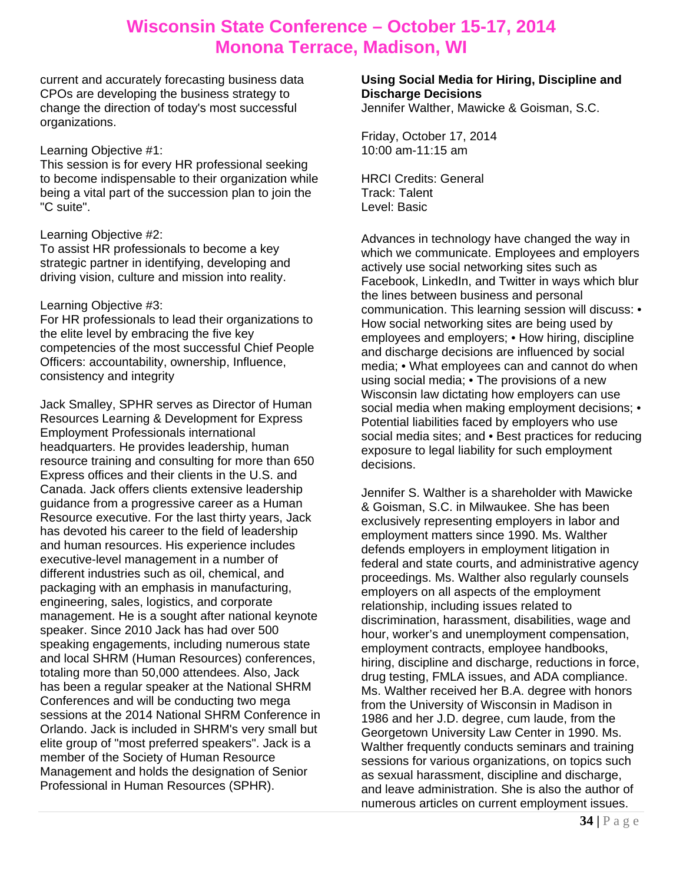current and accurately forecasting business data CPOs are developing the business strategy to change the direction of today's most successful organizations.

#### Learning Objective #1:

This session is for every HR professional seeking to become indispensable to their organization while being a vital part of the succession plan to join the "C suite".

### Learning Objective #2:

To assist HR professionals to become a key strategic partner in identifying, developing and driving vision, culture and mission into reality.

#### Learning Objective #3:

For HR professionals to lead their organizations to the elite level by embracing the five key competencies of the most successful Chief People Officers: accountability, ownership, Influence, consistency and integrity

Jack Smalley, SPHR serves as Director of Human Resources Learning & Development for Express Employment Professionals international headquarters. He provides leadership, human resource training and consulting for more than 650 Express offices and their clients in the U.S. and Canada. Jack offers clients extensive leadership guidance from a progressive career as a Human Resource executive. For the last thirty years, Jack has devoted his career to the field of leadership and human resources. His experience includes executive-level management in a number of different industries such as oil, chemical, and packaging with an emphasis in manufacturing, engineering, sales, logistics, and corporate management. He is a sought after national keynote speaker. Since 2010 Jack has had over 500 speaking engagements, including numerous state and local SHRM (Human Resources) conferences, totaling more than 50,000 attendees. Also, Jack has been a regular speaker at the National SHRM Conferences and will be conducting two mega sessions at the 2014 National SHRM Conference in Orlando. Jack is included in SHRM's very small but elite group of "most preferred speakers". Jack is a member of the Society of Human Resource Management and holds the designation of Senior Professional in Human Resources (SPHR).

### **Using Social Media for Hiring, Discipline and Discharge Decisions**

Jennifer Walther, Mawicke & Goisman, S.C.

Friday, October 17, 2014 10:00 am-11:15 am

HRCI Credits: General Track: Talent Level: Basic

Advances in technology have changed the way in which we communicate. Employees and employers actively use social networking sites such as Facebook, LinkedIn, and Twitter in ways which blur the lines between business and personal communication. This learning session will discuss: • How social networking sites are being used by employees and employers; • How hiring, discipline and discharge decisions are influenced by social media; • What employees can and cannot do when using social media; • The provisions of a new Wisconsin law dictating how employers can use social media when making employment decisions; • Potential liabilities faced by employers who use social media sites; and • Best practices for reducing exposure to legal liability for such employment decisions.

Jennifer S. Walther is a shareholder with Mawicke & Goisman, S.C. in Milwaukee. She has been exclusively representing employers in labor and employment matters since 1990. Ms. Walther defends employers in employment litigation in federal and state courts, and administrative agency proceedings. Ms. Walther also regularly counsels employers on all aspects of the employment relationship, including issues related to discrimination, harassment, disabilities, wage and hour, worker's and unemployment compensation, employment contracts, employee handbooks, hiring, discipline and discharge, reductions in force, drug testing, FMLA issues, and ADA compliance. Ms. Walther received her B.A. degree with honors from the University of Wisconsin in Madison in 1986 and her J.D. degree, cum laude, from the Georgetown University Law Center in 1990. Ms. Walther frequently conducts seminars and training sessions for various organizations, on topics such as sexual harassment, discipline and discharge, and leave administration. She is also the author of numerous articles on current employment issues.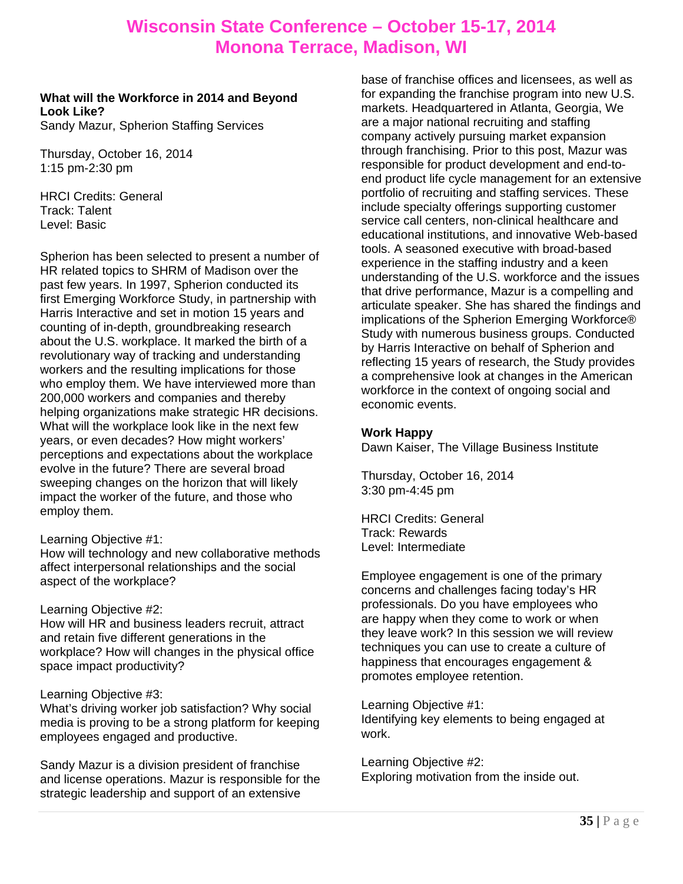### **What will the Workforce in 2014 and Beyond Look Like?**

Sandy Mazur, Spherion Staffing Services

Thursday, October 16, 2014 1:15 pm-2:30 pm

HRCI Credits: General Track: Talent Level: Basic

Spherion has been selected to present a number of HR related topics to SHRM of Madison over the past few years. In 1997, Spherion conducted its first Emerging Workforce Study, in partnership with Harris Interactive and set in motion 15 years and counting of in-depth, groundbreaking research about the U.S. workplace. It marked the birth of a revolutionary way of tracking and understanding workers and the resulting implications for those who employ them. We have interviewed more than 200,000 workers and companies and thereby helping organizations make strategic HR decisions. What will the workplace look like in the next few years, or even decades? How might workers' perceptions and expectations about the workplace evolve in the future? There are several broad sweeping changes on the horizon that will likely impact the worker of the future, and those who employ them.

### Learning Objective #1:

How will technology and new collaborative methods affect interpersonal relationships and the social aspect of the workplace?

### Learning Objective #2:

How will HR and business leaders recruit, attract and retain five different generations in the workplace? How will changes in the physical office space impact productivity?

### Learning Objective #3:

What's driving worker job satisfaction? Why social media is proving to be a strong platform for keeping employees engaged and productive.

Sandy Mazur is a division president of franchise and license operations. Mazur is responsible for the strategic leadership and support of an extensive

base of franchise offices and licensees, as well as for expanding the franchise program into new U.S. markets. Headquartered in Atlanta, Georgia, We are a major national recruiting and staffing company actively pursuing market expansion through franchising. Prior to this post, Mazur was responsible for product development and end-toend product life cycle management for an extensive portfolio of recruiting and staffing services. These include specialty offerings supporting customer service call centers, non-clinical healthcare and educational institutions, and innovative Web-based tools. A seasoned executive with broad-based experience in the staffing industry and a keen understanding of the U.S. workforce and the issues that drive performance, Mazur is a compelling and articulate speaker. She has shared the findings and implications of the Spherion Emerging Workforce® Study with numerous business groups. Conducted by Harris Interactive on behalf of Spherion and reflecting 15 years of research, the Study provides a comprehensive look at changes in the American workforce in the context of ongoing social and economic events.

### **Work Happy**

Dawn Kaiser, The Village Business Institute

Thursday, October 16, 2014 3:30 pm-4:45 pm

HRCI Credits: General Track: Rewards Level: Intermediate

Employee engagement is one of the primary concerns and challenges facing today's HR professionals. Do you have employees who are happy when they come to work or when they leave work? In this session we will review techniques you can use to create a culture of happiness that encourages engagement & promotes employee retention.

Learning Objective #1: Identifying key elements to being engaged at work.

Learning Objective #2: Exploring motivation from the inside out.